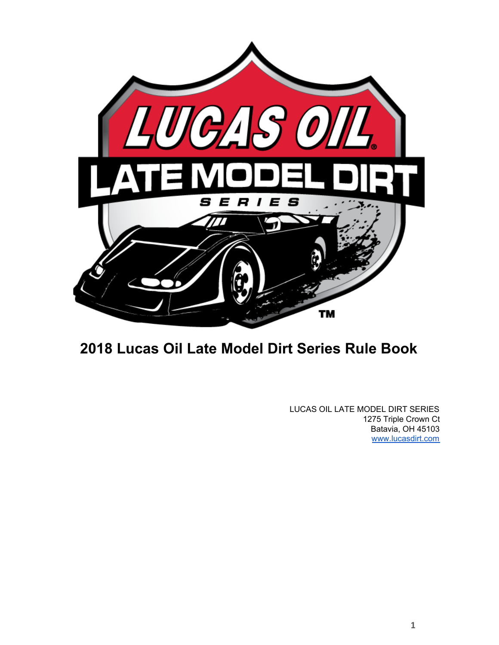

# **2018 Lucas Oil Late Model Dirt Series Rule Book**

LUCAS OIL LATE MODEL DIRT SERIES 1275 Triple Crown Ct Batavia, OH 45103 [www.lucasdirt.com](http://www.lucasdirt.com/)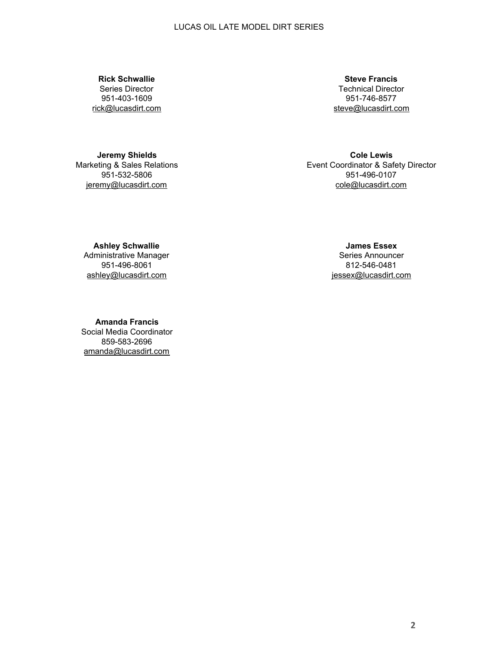**Rick Schwallie** Series Director 951-403-1609 [rick@lucasdirt.com](mailto:rschwallie@lucasdirt.com?subject=Lucas%20Oil%20Late%20Model%20Dirt%20Seris)

**Jeremy Shields** Marketing & Sales Relations 951-532-5806 [jeremy@lucasdirt.com](mailto:jeremy@lucasdirt.com)

**Cole Lewis** Event Coordinator & Safety Director 951-496-0107 [cole@lucasdirt.com](mailto:cole@lucasdirt.com?subject=Lucas%20Oil%20Late%20Model%20Dirt%20Series)

**Steve Francis** Technical Director 951-746-8577 [steve@lucasdirt.com](mailto:steve@lucasdirt.com)

**James Essex** Series Announcer 812-546-0481 [jessex@lucasdirt.com](mailto:jessex@lucasdirt.com?subject=Lucas%20Oil%20Late%20Model%20Dirt%20Series)

**Ashley Schwallie** Administrative Manager 951-496-8061 [ashley@lucasdirt.com](mailto:ashley@lucasdirt.com?subject=Lucas%20Oil%20Late%20Model%20Dirt%20Series)

**Amanda Francis** Social Media Coordinator 859-583-2696 [amanda@lucasdirt.com](mailto:amanda@lucasdirt.com)

**2**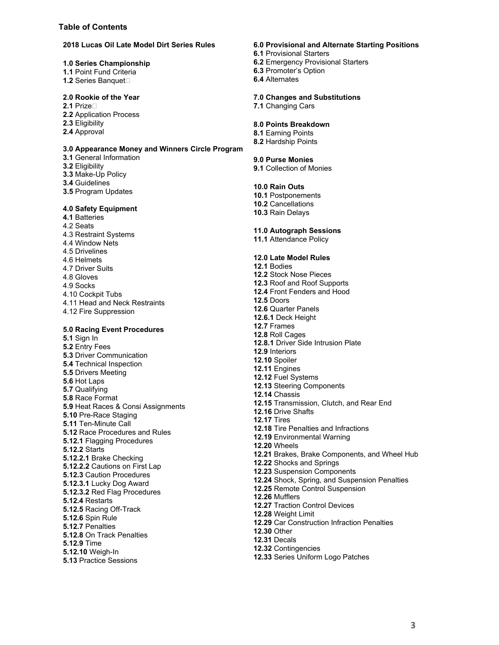#### **Table of Contents**

#### **2018 Lucas Oil Late Model Dirt Series Rules**

#### **1.0 Series Championship**

- **1.1** Point Fund Criteria
- **1.2** Series Banquet

#### **2.0 Rookie of the Year**

- **2.1** Prize
- **2.2** Application Process
- **2.3** Eligibility
- **2.4** Approval

#### **3.0 Appearance Money and Winners Circle Program**

- **3.1** General Information
- **3.2** Eligibility
- **3.3** Make-Up Policy
- **3.4** Guidelines
- **3.5** Program Updates

#### **4.0 Safety Equipment**

**4.1** Batteries 4.2 Seats 4.3 Restraint Systems 4.4 Window Nets 4.5 Drivelines 4.6 Helmets 4.7 Driver Suits 4.8 Gloves 4.9 Socks 4.10 Cockpit Tubs 4.11 Head and Neck Restraints 4.12 Fire Suppression

#### **5.0 Racing Event Procedures**

**5.1** Sign In **5.2** Entry Fees **5.3** Driver Communication **5.4** Technical Inspection **5.5** Drivers Meeting **5.6** Hot Laps **5.7** Qualifying **5.8** Race Format **5.9** Heat Races & Consi Assignments **5.10** Pre-Race Staging **5.11** Ten-Minute Call **5.12** Race Procedures and Rules **5.12.1** Flagging Procedures **5.12.2** Starts **5.12.2.1** Brake Checking **5.12.2.2** Cautions on First Lap **5.12.3** Caution Procedures **5.12.3.1** Lucky Dog Award **5.12.3.2** Red Flag Procedures **5.12.4** Restarts **5.12.5** Racing Off-Track **5.12.6** Spin Rule **5.12.7** Penalties **5.12.8** On Track Penalties **5.12.9** Time **5.12.10** Weigh-In **5.13** Practice Sessions

#### **6.0 Provisional and Alternate Starting Positions**

- **6.1** Provisional Starters
- **6.2** Emergency Provisional Starters
- **6.3** Promoter's Option
- **6.4** Alternates

#### **7.0 Changes and Substitutions**

**7.1** Changing Cars

#### **8.0 Points Breakdown**

- **8.1** Earning Points
- **8.2** Hardship Points

#### **9.0 Purse Monies**

**9.1** Collection of Monies

#### **10.0 Rain Outs**

- **10.1** Postponements
- **10.2** Cancellations
- **10.3** Rain Delays

#### **11.0 Autograph Sessions**

**11.1** Attendance Policy

#### **12.0 Late Model Rules**

**12.1** Bodies **12.2** Stock Nose Pieces **12.3** Roof and Roof Supports **12.4** Front Fenders and Hood **12.5** Doors **12.6** Quarter Panels **12.6.1** Deck Height **12.7** Frames **12.8** Roll Cages **12.8.1** Driver Side Intrusion Plate **12.9** Interiors **12.10** Spoiler **12.11** Engines **12.12** Fuel Systems **12.13** Steering Components **12.14** Chassis **12.15** Transmission, Clutch, and Rear End **12.16** Drive Shafts **12.17** Tires **12.18** Tire Penalties and Infractions **12.19** Environmental Warning **12.20** Wheels **12.21** Brakes, Brake Components, and Wheel Hub **12.22** Shocks and Springs **12.23** Suspension Components **12.24** Shock, Spring, and Suspension Penalties **12.25** Remote Control Suspension **12.26** Mufflers **12.27** Traction Control Devices **12.28** Weight Limit **12.29** Car Construction Infraction Penalties **12.30** Other **12.31** Decals **12.32** Contingencies **12.33** Series Uniform Logo Patches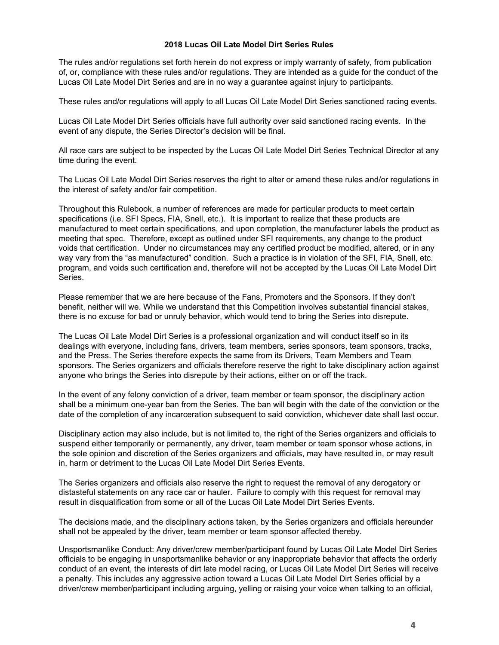#### **2018 Lucas Oil Late Model Dirt Series Rules**

The rules and/or regulations set forth herein do not express or imply warranty of safety, from publication of, or, compliance with these rules and/or regulations. They are intended as a guide for the conduct of the Lucas Oil Late Model Dirt Series and are in no way a guarantee against injury to participants.

These rules and/or regulations will apply to all Lucas Oil Late Model Dirt Series sanctioned racing events.

Lucas Oil Late Model Dirt Series officials have full authority over said sanctioned racing events. In the event of any dispute, the Series Director's decision will be final.

All race cars are subject to be inspected by the Lucas Oil Late Model Dirt Series Technical Director at any time during the event.

The Lucas Oil Late Model Dirt Series reserves the right to alter or amend these rules and/or regulations in the interest of safety and/or fair competition.

Throughout this Rulebook, a number of references are made for particular products to meet certain specifications (i.e. SFI Specs, FIA, Snell, etc.). It is important to realize that these products are manufactured to meet certain specifications, and upon completion, the manufacturer labels the product as meeting that spec. Therefore, except as outlined under SFI requirements, any change to the product voids that certification. Under no circumstances may any certified product be modified, altered, or in any way vary from the "as manufactured" condition. Such a practice is in violation of the SFI, FIA, Snell, etc. program, and voids such certification and, therefore will not be accepted by the Lucas Oil Late Model Dirt Series.

Please remember that we are here because of the Fans, Promoters and the Sponsors. If they don't benefit, neither will we. While we understand that this Competition involves substantial financial stakes, there is no excuse for bad or unruly behavior, which would tend to bring the Series into disrepute.

The Lucas Oil Late Model Dirt Series is a professional organization and will conduct itself so in its dealings with everyone, including fans, drivers, team members, series sponsors, team sponsors, tracks, and the Press. The Series therefore expects the same from its Drivers, Team Members and Team sponsors. The Series organizers and officials therefore reserve the right to take disciplinary action against anyone who brings the Series into disrepute by their actions, either on or off the track.

In the event of any felony conviction of a driver, team member or team sponsor, the disciplinary action shall be a minimum one-year ban from the Series. The ban will begin with the date of the conviction or the date of the completion of any incarceration subsequent to said conviction, whichever date shall last occur.

Disciplinary action may also include, but is not limited to, the right of the Series organizers and officials to suspend either temporarily or permanently, any driver, team member or team sponsor whose actions, in the sole opinion and discretion of the Series organizers and officials, may have resulted in, or may result in, harm or detriment to the Lucas Oil Late Model Dirt Series Events.

The Series organizers and officials also reserve the right to request the removal of any derogatory or distasteful statements on any race car or hauler. Failure to comply with this request for removal may result in disqualification from some or all of the Lucas Oil Late Model Dirt Series Events.

The decisions made, and the disciplinary actions taken, by the Series organizers and officials hereunder shall not be appealed by the driver, team member or team sponsor affected thereby.

Unsportsmanlike Conduct: Any driver/crew member/participant found by Lucas Oil Late Model Dirt Series officials to be engaging in unsportsmanlike behavior or any inappropriate behavior that affects the orderly conduct of an event, the interests of dirt late model racing, or Lucas Oil Late Model Dirt Series will receive a penalty. This includes any aggressive action toward a Lucas Oil Late Model Dirt Series official by a driver/crew member/participant including arguing, yelling or raising your voice when talking to an official,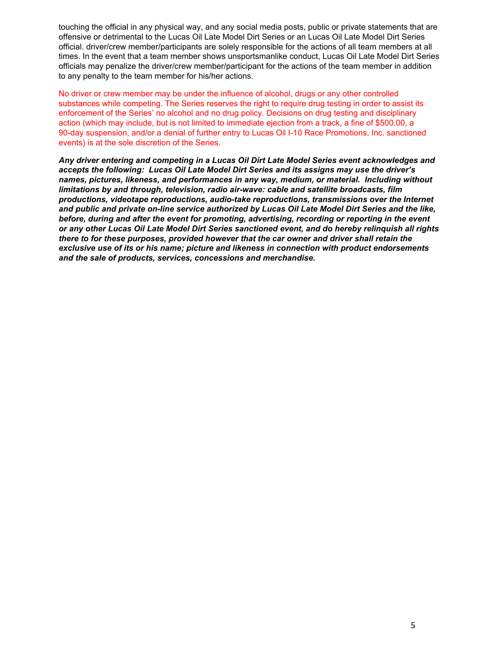touching the official in any physical way, and any social media posts, public or private statements that are offensive or detrimental to the Lucas Oil Late Model Dirt Series or an Lucas Oil Late Model Dirt Series official. driver/crew member/participants are solely responsible for the actions of all team members at all times. In the event that a team member shows unsportsmanlike conduct, Lucas Oil Late Model Dirt Series officials may penalize the driver/crew member/participant for the actions of the team member in addition to any penalty to the team member for his/her actions.

No driver or crew member may be under the influence of alcohol, drugs or any other controlled substances while competing. The Series reserves the right to require drug testing in order to assist its enforcement of the Series' no alcohol and no drug policy. Decisions on drug testing and disciplinary action (which may include, but is not limited to immediate ejection from a track, a fine of \$500.00, a 90-day suspension, and/or a denial of further entry to Lucas Oil I-10 Race Promotions, Inc. sanctioned events) is at the sole discretion of the Series.

*Any driver entering and competing in a Lucas Oil Dirt Late Model Series event acknowledges and accepts the following: Lucas Oil Late Model Dirt Series and its assigns may use the driver's names, pictures, likeness, and performances in any way, medium, or material. Including without limitations by and through, television, radio air-wave: cable and satellite broadcasts, film productions, videotape reproductions, audio-take reproductions, transmissions over the Internet and public and private on-line service authorized by Lucas Oil Late Model Dirt Series and the like, before, during and after the event for promoting, advertising, recording or reporting in the event or any other Lucas Oil Late Model Dirt Series sanctioned event, and do hereby relinquish all rights there to for these purposes, provided however that the car owner and driver shall retain the exclusive use of its or his name; picture and likeness in connection with product endorsements and the sale of products, services, concessions and merchandise.*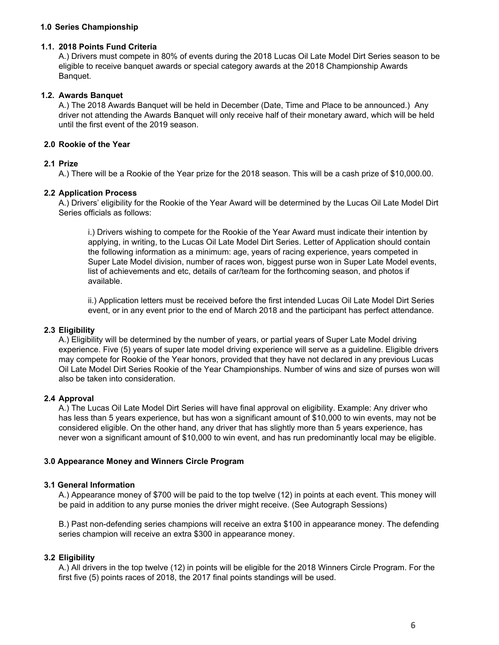## **1.0 Series Championship**

#### **1.1. 2018 Points Fund Criteria**

A.) Drivers must compete in 80% of events during the 2018 Lucas Oil Late Model Dirt Series season to be eligible to receive banquet awards or special category awards at the 2018 Championship Awards Banquet.

## **1.2. Awards Banquet**

A.) The 2018 Awards Banquet will be held in December (Date, Time and Place to be announced.) Any driver not attending the Awards Banquet will only receive half of their monetary award, which will be held until the first event of the 2019 season.

## **2.0 Rookie of the Year**

#### **2.1 Prize**

A.) There will be a Rookie of the Year prize for the 2018 season. This will be a cash prize of \$10,000.00.

#### **2.2 Application Process**

A.) Drivers' eligibility for the Rookie of the Year Award will be determined by the Lucas Oil Late Model Dirt Series officials as follows:

i.) Drivers wishing to compete for the Rookie of the Year Award must indicate their intention by applying, in writing, to the Lucas Oil Late Model Dirt Series. Letter of Application should contain the following information as a minimum: age, years of racing experience, years competed in Super Late Model division, number of races won, biggest purse won in Super Late Model events, list of achievements and etc, details of car/team for the forthcoming season, and photos if available.

ii.) Application letters must be received before the first intended Lucas Oil Late Model Dirt Series event, or in any event prior to the end of March 2018 and the participant has perfect attendance.

## **2.3 Eligibility**

A.) Eligibility will be determined by the number of years, or partial years of Super Late Model driving experience. Five (5) years of super late model driving experience will serve as a guideline. Eligible drivers may compete for Rookie of the Year honors, provided that they have not declared in any previous Lucas Oil Late Model Dirt Series Rookie of the Year Championships. Number of wins and size of purses won will also be taken into consideration.

# **2.4 Approval**

A.) The Lucas Oil Late Model Dirt Series will have final approval on eligibility. Example: Any driver who has less than 5 years experience, but has won a significant amount of \$10,000 to win events, may not be considered eligible. On the other hand, any driver that has slightly more than 5 years experience, has never won a significant amount of \$10,000 to win event, and has run predominantly local may be eligible.

## **3.0 Appearance Money and Winners Circle Program**

## **3.1 General Information**

A.) Appearance money of \$700 will be paid to the top twelve (12) in points at each event. This money will be paid in addition to any purse monies the driver might receive. (See Autograph Sessions)

B.) Past non-defending series champions will receive an extra \$100 in appearance money. The defending series champion will receive an extra \$300 in appearance money.

## **3.2 Eligibility**

A.) All drivers in the top twelve (12) in points will be eligible for the 2018 Winners Circle Program. For the first five (5) points races of 2018, the 2017 final points standings will be used.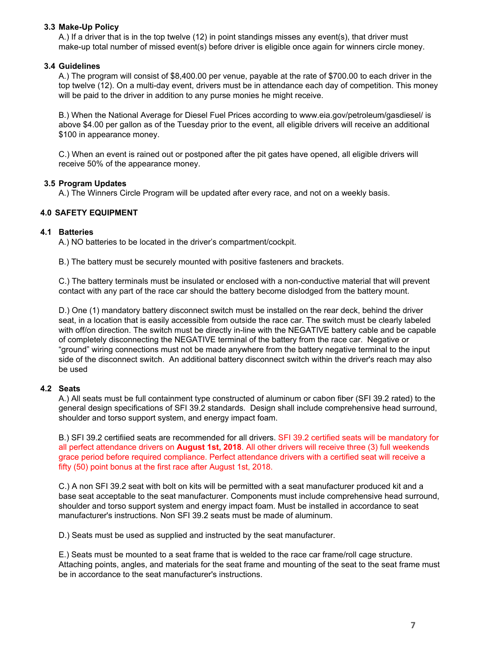# **3.3 Make-Up Policy**

A.) If a driver that is in the top twelve (12) in point standings misses any event(s), that driver must make-up total number of missed event(s) before driver is eligible once again for winners circle money.

# **3.4 Guidelines**

A.) The program will consist of \$8,400.00 per venue, payable at the rate of \$700.00 to each driver in the top twelve (12). On a multi-day event, drivers must be in attendance each day of competition. This money will be paid to the driver in addition to any purse monies he might receive.

B.) When the National Average for Diesel Fuel Prices according to www.eia.gov/petroleum/gasdiesel/ is above \$4.00 per gallon as of the Tuesday prior to the event, all eligible drivers will receive an additional \$100 in appearance money.

C.) When an event is rained out or postponed after the pit gates have opened, all eligible drivers will receive 50% of the appearance money.

## **3.5 Program Updates**

A.) The Winners Circle Program will be updated after every race, and not on a weekly basis.

# **4.0 SAFETY EQUIPMENT**

## **4.1 Batteries**

A.) NO batteries to be located in the driver's compartment/cockpit.

B.) The battery must be securely mounted with positive fasteners and brackets.

C.) The battery terminals must be insulated or enclosed with a non-conductive material that will prevent contact with any part of the race car should the battery become dislodged from the battery mount.

D.) One (1) mandatory battery disconnect switch must be installed on the rear deck, behind the driver seat, in a location that is easily accessible from outside the race car. The switch must be clearly labeled with off/on direction. The switch must be directly in-line with the NEGATIVE battery cable and be capable of completely disconnecting the NEGATIVE terminal of the battery from the race car. Negative or "ground" wiring connections must not be made anywhere from the battery negative terminal to the input side of the disconnect switch. An additional battery disconnect switch within the driver's reach may also be used

## **4.2 Seats**

A.) All seats must be full containment type constructed of aluminum or cabon fiber (SFI 39.2 rated) to the general design specifications of SFI 39.2 standards. Design shall include comprehensive head surround, shoulder and torso support system, and energy impact foam.

B.) SFI 39.2 certifiied seats are recommended for all drivers. SFI 39.2 certified seats will be mandatory for all perfect attendance drivers on **August 1st, 2018**. All other drivers will receive three (3) full weekends grace period before required compliance. Perfect attendance drivers with a certified seat will receive a fifty (50) point bonus at the first race after August 1st, 2018.

C.) A non SFI 39.2 seat with bolt on kits will be permitted with a seat manufacturer produced kit and a base seat acceptable to the seat manufacturer. Components must include comprehensive head surround, shoulder and torso support system and energy impact foam. Must be installed in accordance to seat manufacturer's instructions. Non SFI 39.2 seats must be made of aluminum.

D.) Seats must be used as supplied and instructed by the seat manufacturer.

E.) Seats must be mounted to a seat frame that is welded to the race car frame/roll cage structure. Attaching points, angles, and materials for the seat frame and mounting of the seat to the seat frame must be in accordance to the seat manufacturer's instructions.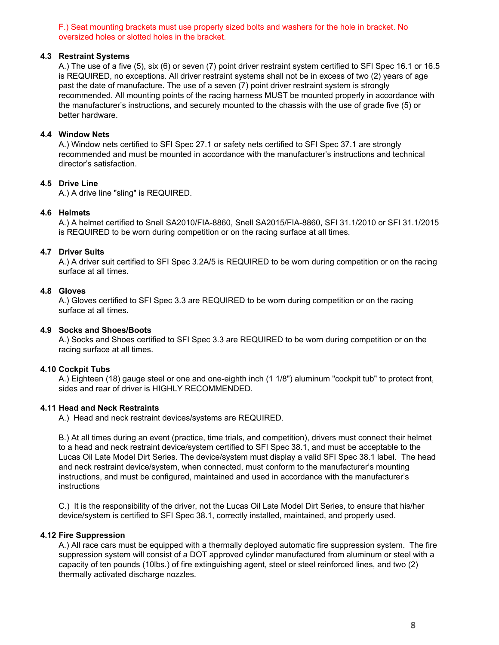F.) Seat mounting brackets must use properly sized bolts and washers for the hole in bracket. No oversized holes or slotted holes in the bracket.

#### **4.3 Restraint Systems**

A.) The use of a five (5), six (6) or seven (7) point driver restraint system certified to SFI Spec 16.1 or 16.5 is REQUIRED, no exceptions. All driver restraint systems shall not be in excess of two (2) years of age past the date of manufacture. The use of a seven (7) point driver restraint system is strongly recommended. All mounting points of the racing harness MUST be mounted properly in accordance with the manufacturer's instructions, and securely mounted to the chassis with the use of grade five (5) or better hardware.

## **4.4 Window Nets**

A.) Window nets certified to SFI Spec 27.1 or safety nets certified to SFI Spec 37.1 are strongly recommended and must be mounted in accordance with the manufacturer's instructions and technical director's satisfaction.

## **4.5 Drive Line**

A.) A drive line "sling" is REQUIRED.

## **4.6 Helmets**

A.) A helmet certified to Snell SA2010/FIA-8860, Snell SA2015/FIA-8860, SFI 31.1/2010 or SFI 31.1/2015 is REQUIRED to be worn during competition or on the racing surface at all times.

## **4.7 Driver Suits**

A.) A driver suit certified to SFI Spec 3.2A/5 is REQUIRED to be worn during competition or on the racing surface at all times.

## **4.8 Gloves**

A.) Gloves certified to SFI Spec 3.3 are REQUIRED to be worn during competition or on the racing surface at all times.

## **4.9 Socks and Shoes/Boots**

A.) Socks and Shoes certified to SFI Spec 3.3 are REQUIRED to be worn during competition or on the racing surface at all times.

## **4.10 Cockpit Tubs**

A.) Eighteen (18) gauge steel or one and one-eighth inch (1 1/8") aluminum "cockpit tub" to protect front, sides and rear of driver is HIGHLY RECOMMENDED.

## **4.11 Head and Neck Restraints**

A.) Head and neck restraint devices/systems are REQUIRED.

B.) At all times during an event (practice, time trials, and competition), drivers must connect their helmet to a head and neck restraint device/system certified to SFI Spec 38.1, and must be acceptable to the Lucas Oil Late Model Dirt Series. The device/system must display a valid SFI Spec 38.1 label. The head and neck restraint device/system, when connected, must conform to the manufacturer's mounting instructions, and must be configured, maintained and used in accordance with the manufacturer's instructions

C.) It is the responsibility of the driver, not the Lucas Oil Late Model Dirt Series, to ensure that his/her device/system is certified to SFI Spec 38.1, correctly installed, maintained, and properly used.

## **4.12 Fire Suppression**

A.) All race cars must be equipped with a thermally deployed automatic fire suppression system. The fire suppression system will consist of a DOT approved cylinder manufactured from aluminum or steel with a capacity of ten pounds (10lbs.) of fire extinguishing agent, steel or steel reinforced lines, and two (2) thermally activated discharge nozzles.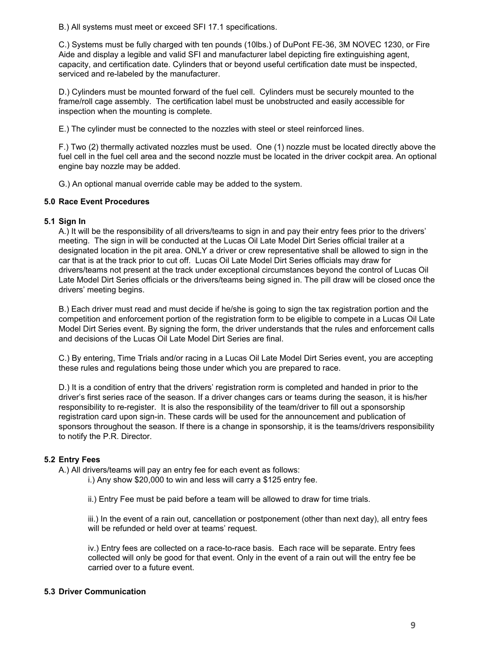B.) All systems must meet or exceed SFI 17.1 specifications.

C.) Systems must be fully charged with ten pounds (10lbs.) of DuPont FE-36, 3M NOVEC 1230, or Fire Aide and display a legible and valid SFI and manufacturer label depicting fire extinguishing agent, capacity, and certification date. Cylinders that or beyond useful certification date must be inspected, serviced and re-labeled by the manufacturer.

D.) Cylinders must be mounted forward of the fuel cell. Cylinders must be securely mounted to the frame/roll cage assembly. The certification label must be unobstructed and easily accessible for inspection when the mounting is complete.

E.) The cylinder must be connected to the nozzles with steel or steel reinforced lines.

F.) Two (2) thermally activated nozzles must be used. One (1) nozzle must be located directly above the fuel cell in the fuel cell area and the second nozzle must be located in the driver cockpit area. An optional engine bay nozzle may be added.

G.) An optional manual override cable may be added to the system.

#### **5.0 Race Event Procedures**

#### **5.1 Sign In**

A.) It will be the responsibility of all drivers/teams to sign in and pay their entry fees prior to the drivers' meeting. The sign in will be conducted at the Lucas Oil Late Model Dirt Series official trailer at a designated location in the pit area. ONLY a driver or crew representative shall be allowed to sign in the car that is at the track prior to cut off. Lucas Oil Late Model Dirt Series officials may draw for drivers/teams not present at the track under exceptional circumstances beyond the control of Lucas Oil Late Model Dirt Series officials or the drivers/teams being signed in. The pill draw will be closed once the drivers' meeting begins.

B.) Each driver must read and must decide if he/she is going to sign the tax registration portion and the competition and enforcement portion of the registration form to be eligible to compete in a Lucas Oil Late Model Dirt Series event. By signing the form, the driver understands that the rules and enforcement calls and decisions of the Lucas Oil Late Model Dirt Series are final.

C.) By entering, Time Trials and/or racing in a Lucas Oil Late Model Dirt Series event, you are accepting these rules and regulations being those under which you are prepared to race.

D.) It is a condition of entry that the drivers' registration rorm is completed and handed in prior to the driver's first series race of the season. If a driver changes cars or teams during the season, it is his/her responsibility to re-register. It is also the responsibility of the team/driver to fill out a sponsorship registration card upon sign-in. These cards will be used for the announcement and publication of sponsors throughout the season. If there is a change in sponsorship, it is the teams/drivers responsibility to notify the P.R. Director.

## **5.2 Entry Fees**

A.) All drivers/teams will pay an entry fee for each event as follows:

i.) Any show \$20,000 to win and less will carry a \$125 entry fee.

ii.) Entry Fee must be paid before a team will be allowed to draw for time trials.

iii.) In the event of a rain out, cancellation or postponement (other than next day), all entry fees will be refunded or held over at teams' request.

iv.) Entry fees are collected on a race-to-race basis. Each race will be separate. Entry fees collected will only be good for that event. Only in the event of a rain out will the entry fee be carried over to a future event.

## **5.3 Driver Communication**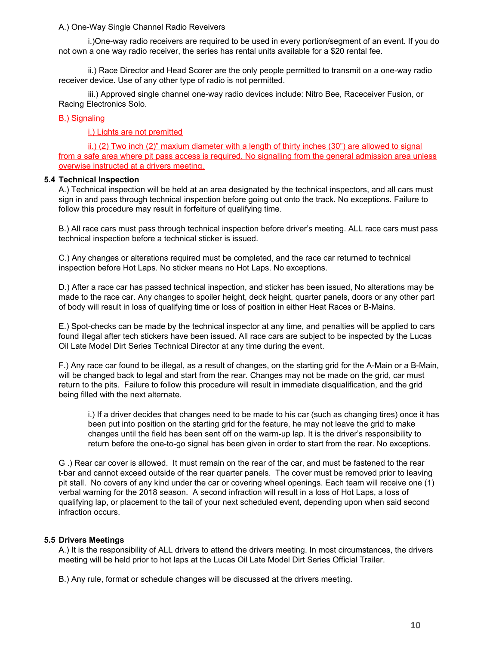#### A.) One-Way Single Channel Radio Reveivers

i.)One-way radio receivers are required to be used in every portion/segment of an event. If you do not own a one way radio receiver, the series has rental units available for a \$20 rental fee.

ii.) Race Director and Head Scorer are the only people permitted to transmit on a one-way radio receiver device. Use of any other type of radio is not permitted.

iii.) Approved single channel one-way radio devices include: Nitro Bee, Raceceiver Fusion, or Racing Electronics Solo.

## B.) Signaling

i.) Lights are not premitted

ii.) (2) Two inch (2)" maxium diameter with a length of thirty inches (30") are allowed to signal from a safe area where pit pass access is required. No signalling from the general admission area unless overwise instructed at a drivers meeting.

## **5.4 Technical Inspection**

A.) Technical inspection will be held at an area designated by the technical inspectors, and all cars must sign in and pass through technical inspection before going out onto the track. No exceptions. Failure to follow this procedure may result in forfeiture of qualifying time.

B.) All race cars must pass through technical inspection before driver's meeting. ALL race cars must pass technical inspection before a technical sticker is issued.

C.) Any changes or alterations required must be completed, and the race car returned to technical inspection before Hot Laps. No sticker means no Hot Laps. No exceptions.

D.) After a race car has passed technical inspection, and sticker has been issued, No alterations may be made to the race car. Any changes to spoiler height, deck height, quarter panels, doors or any other part of body will result in loss of qualifying time or loss of position in either Heat Races or B-Mains.

E.) Spot-checks can be made by the technical inspector at any time, and penalties will be applied to cars found illegal after tech stickers have been issued. All race cars are subject to be inspected by the Lucas Oil Late Model Dirt Series Technical Director at any time during the event.

F.) Any race car found to be illegal, as a result of changes, on the starting grid for the A-Main or a B-Main, will be changed back to legal and start from the rear. Changes may not be made on the grid, car must return to the pits. Failure to follow this procedure will result in immediate disqualification, and the grid being filled with the next alternate.

i.) If a driver decides that changes need to be made to his car (such as changing tires) once it has been put into position on the starting grid for the feature, he may not leave the grid to make changes until the field has been sent off on the warm-up lap. It is the driver's responsibility to return before the one-to-go signal has been given in order to start from the rear. No exceptions.

G .) Rear car cover is allowed. It must remain on the rear of the car, and must be fastened to the rear t-bar and cannot exceed outside of the rear quarter panels. The cover must be removed prior to leaving pit stall. No covers of any kind under the car or covering wheel openings. Each team will receive one (1) verbal warning for the 2018 season. A second infraction will result in a loss of Hot Laps, a loss of qualifying lap, or placement to the tail of your next scheduled event, depending upon when said second infraction occurs.

## **5.5 Drivers Meetings**

A.) It is the responsibility of ALL drivers to attend the drivers meeting. In most circumstances, the drivers meeting will be held prior to hot laps at the Lucas Oil Late Model Dirt Series Official Trailer.

B.) Any rule, format or schedule changes will be discussed at the drivers meeting.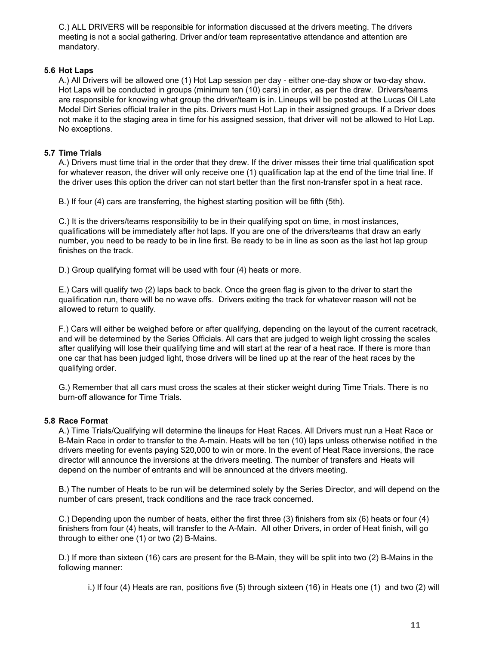C.) ALL DRIVERS will be responsible for information discussed at the drivers meeting. The drivers meeting is not a social gathering. Driver and/or team representative attendance and attention are mandatory.

## **5.6 Hot Laps**

A.) All Drivers will be allowed one (1) Hot Lap session per day - either one-day show or two-day show. Hot Laps will be conducted in groups (minimum ten (10) cars) in order, as per the draw. Drivers/teams are responsible for knowing what group the driver/team is in. Lineups will be posted at the Lucas Oil Late Model Dirt Series official trailer in the pits. Drivers must Hot Lap in their assigned groups. If a Driver does not make it to the staging area in time for his assigned session, that driver will not be allowed to Hot Lap. No exceptions.

# **5.7 Time Trials**

A.) Drivers must time trial in the order that they drew. If the driver misses their time trial qualification spot for whatever reason, the driver will only receive one (1) qualification lap at the end of the time trial line. If the driver uses this option the driver can not start better than the first non-transfer spot in a heat race.

B.) If four (4) cars are transferring, the highest starting position will be fifth (5th).

C.) It is the drivers/teams responsibility to be in their qualifying spot on time, in most instances, qualifications will be immediately after hot laps. If you are one of the drivers/teams that draw an early number, you need to be ready to be in line first. Be ready to be in line as soon as the last hot lap group finishes on the track.

D.) Group qualifying format will be used with four (4) heats or more.

E.) Cars will qualify two (2) laps back to back. Once the green flag is given to the driver to start the qualification run, there will be no wave offs. Drivers exiting the track for whatever reason will not be allowed to return to qualify.

F.) Cars will either be weighed before or after qualifying, depending on the layout of the current racetrack, and will be determined by the Series Officials. All cars that are judged to weigh light crossing the scales after qualifying will lose their qualifying time and will start at the rear of a heat race. If there is more than one car that has been judged light, those drivers will be lined up at the rear of the heat races by the qualifying order.

G.) Remember that all cars must cross the scales at their sticker weight during Time Trials. There is no burn-off allowance for Time Trials.

## **5.8 Race Format**

A.) Time Trials/Qualifying will determine the lineups for Heat Races. All Drivers must run a Heat Race or B-Main Race in order to transfer to the A-main. Heats will be ten (10) laps unless otherwise notified in the drivers meeting for events paying \$20,000 to win or more. In the event of Heat Race inversions, the race director will announce the inversions at the drivers meeting. The number of transfers and Heats will depend on the number of entrants and will be announced at the drivers meeting.

B.) The number of Heats to be run will be determined solely by the Series Director, and will depend on the number of cars present, track conditions and the race track concerned.

C.) Depending upon the number of heats, either the first three (3) finishers from six (6) heats or four (4) finishers from four (4) heats, will transfer to the A-Main. All other Drivers, in order of Heat finish, will go through to either one (1) or two (2) B-Mains.

D.) If more than sixteen (16) cars are present for the B-Main, they will be split into two (2) B-Mains in the following manner:

i.) If four (4) Heats are ran, positions five (5) through sixteen (16) in Heats one (1) and two (2) will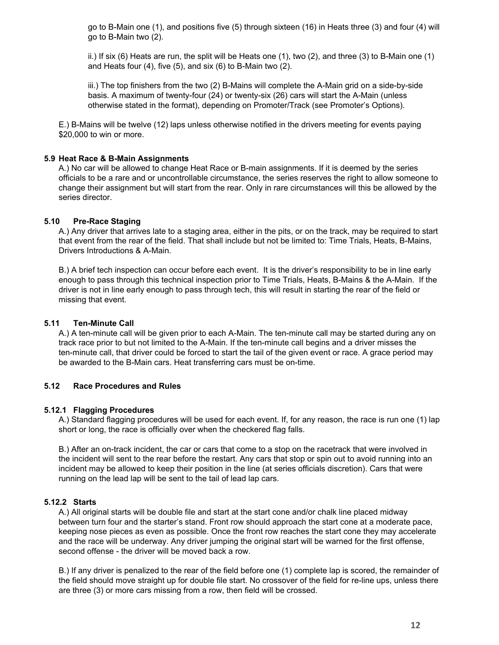go to B-Main one (1), and positions five (5) through sixteen (16) in Heats three (3) and four (4) will go to B-Main two (2).

ii.) If six (6) Heats are run, the split will be Heats one (1), two (2), and three (3) to B-Main one (1) and Heats four (4), five (5), and six (6) to B-Main two (2).

iii.) The top finishers from the two (2) B-Mains will complete the A-Main grid on a side-by-side basis. A maximum of twenty-four (24) or twenty-six (26) cars will start the A-Main (unless otherwise stated in the format), depending on Promoter/Track (see Promoter's Options).

E.) B-Mains will be twelve (12) laps unless otherwise notified in the drivers meeting for events paying \$20,000 to win or more.

## **5.9 Heat Race & B-Main Assignments**

A.) No car will be allowed to change Heat Race or B-main assignments. If it is deemed by the series officials to be a rare and or uncontrollable circumstance, the series reserves the right to allow someone to change their assignment but will start from the rear. Only in rare circumstances will this be allowed by the series director.

#### **5.10 Pre-Race Staging**

A.) Any driver that arrives late to a staging area, either in the pits, or on the track, may be required to start that event from the rear of the field. That shall include but not be limited to: Time Trials, Heats, B-Mains, Drivers Introductions & A-Main.

B.) A brief tech inspection can occur before each event. It is the driver's responsibility to be in line early enough to pass through this technical inspection prior to Time Trials, Heats, B-Mains & the A-Main. If the driver is not in line early enough to pass through tech, this will result in starting the rear of the field or missing that event.

#### **5.11 Ten-Minute Call**

A.) A ten-minute call will be given prior to each A-Main. The ten-minute call may be started during any on track race prior to but not limited to the A-Main. If the ten-minute call begins and a driver misses the ten-minute call, that driver could be forced to start the tail of the given event or race. A grace period may be awarded to the B-Main cars. Heat transferring cars must be on-time.

#### **5.12 Race Procedures and Rules**

#### **5.12.1 Flagging Procedures**

A.) Standard flagging procedures will be used for each event. If, for any reason, the race is run one (1) lap short or long, the race is officially over when the checkered flag falls.

B.) After an on-track incident, the car or cars that come to a stop on the racetrack that were involved in the incident will sent to the rear before the restart. Any cars that stop or spin out to avoid running into an incident may be allowed to keep their position in the line (at series officials discretion). Cars that were running on the lead lap will be sent to the tail of lead lap cars.

## **5.12.2 Starts**

A.) All original starts will be double file and start at the start cone and/or chalk line placed midway between turn four and the starter's stand. Front row should approach the start cone at a moderate pace, keeping nose pieces as even as possible. Once the front row reaches the start cone they may accelerate and the race will be underway. Any driver jumping the original start will be warned for the first offense, second offense - the driver will be moved back a row.

B.) If any driver is penalized to the rear of the field before one (1) complete lap is scored, the remainder of the field should move straight up for double file start. No crossover of the field for re-line ups, unless there are three (3) or more cars missing from a row, then field will be crossed.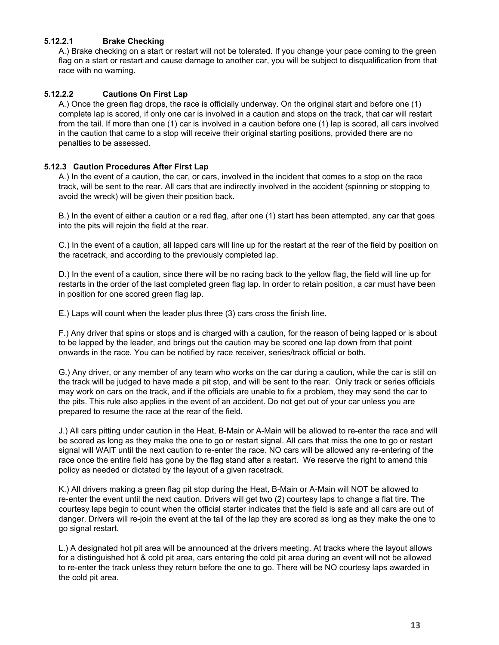# **5.12.2.1 Brake Checking**

A.) Brake checking on a start or restart will not be tolerated. If you change your pace coming to the green flag on a start or restart and cause damage to another car, you will be subject to disqualification from that race with no warning.

## **5.12.2.2 Cautions On First Lap**

A.) Once the green flag drops, the race is officially underway. On the original start and before one (1) complete lap is scored, if only one car is involved in a caution and stops on the track, that car will restart from the tail. If more than one (1) car is involved in a caution before one (1) lap is scored, all cars involved in the caution that came to a stop will receive their original starting positions, provided there are no penalties to be assessed.

## **5.12.3 Caution Procedures After First Lap**

A.) In the event of a caution, the car, or cars, involved in the incident that comes to a stop on the race track, will be sent to the rear. All cars that are indirectly involved in the accident (spinning or stopping to avoid the wreck) will be given their position back.

B.) In the event of either a caution or a red flag, after one (1) start has been attempted, any car that goes into the pits will rejoin the field at the rear.

C.) In the event of a caution, all lapped cars will line up for the restart at the rear of the field by position on the racetrack, and according to the previously completed lap.

D.) In the event of a caution, since there will be no racing back to the yellow flag, the field will line up for restarts in the order of the last completed green flag lap. In order to retain position, a car must have been in position for one scored green flag lap.

E.) Laps will count when the leader plus three (3) cars cross the finish line.

F.) Any driver that spins or stops and is charged with a caution, for the reason of being lapped or is about to be lapped by the leader, and brings out the caution may be scored one lap down from that point onwards in the race. You can be notified by race receiver, series/track official or both.

G.) Any driver, or any member of any team who works on the car during a caution, while the car is still on the track will be judged to have made a pit stop, and will be sent to the rear. Only track or series officials may work on cars on the track, and if the officials are unable to fix a problem, they may send the car to the pits. This rule also applies in the event of an accident. Do not get out of your car unless you are prepared to resume the race at the rear of the field.

J.) All cars pitting under caution in the Heat, B-Main or A-Main will be allowed to re-enter the race and will be scored as long as they make the one to go or restart signal. All cars that miss the one to go or restart signal will WAIT until the next caution to re-enter the race. NO cars will be allowed any re-entering of the race once the entire field has gone by the flag stand after a restart. We reserve the right to amend this policy as needed or dictated by the layout of a given racetrack.

K.) All drivers making a green flag pit stop during the Heat, B-Main or A-Main will NOT be allowed to re-enter the event until the next caution. Drivers will get two (2) courtesy laps to change a flat tire. The courtesy laps begin to count when the official starter indicates that the field is safe and all cars are out of danger. Drivers will re-join the event at the tail of the lap they are scored as long as they make the one to go signal restart.

L.) A designated hot pit area will be announced at the drivers meeting. At tracks where the layout allows for a distinguished hot & cold pit area, cars entering the cold pit area during an event will not be allowed to re-enter the track unless they return before the one to go. There will be NO courtesy laps awarded in the cold pit area.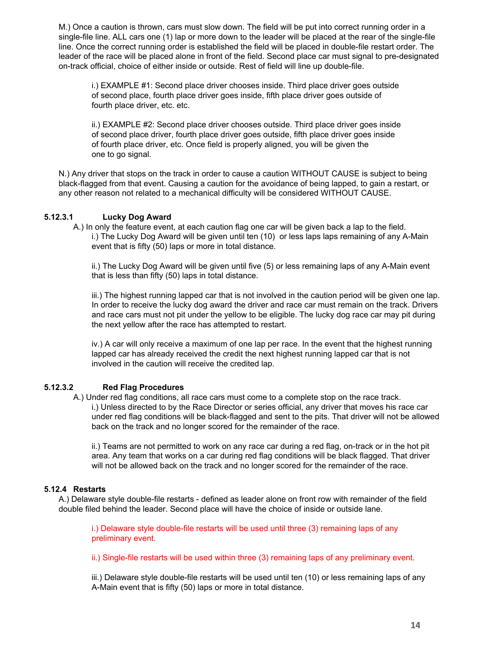M.) Once a caution is thrown, cars must slow down. The field will be put into correct running order in a single-file line. ALL cars one (1) lap or more down to the leader will be placed at the rear of the single-file line. Once the correct running order is established the field will be placed in double-file restart order. The leader of the race will be placed alone in front of the field. Second place car must signal to pre-designated on-track official, choice of either inside or outside. Rest of field will line up double-file.

i.) EXAMPLE #1: Second place driver chooses inside. Third place driver goes outside of second place, fourth place driver goes inside, fifth place driver goes outside of fourth place driver, etc. etc.

ii.) EXAMPLE #2: Second place driver chooses outside. Third place driver goes inside of second place driver, fourth place driver goes outside, fifth place driver goes inside of fourth place driver, etc. Once field is properly aligned, you will be given the one to go signal.

N.) Any driver that stops on the track in order to cause a caution WITHOUT CAUSE is subject to being black-flagged from that event. Causing a caution for the avoidance of being lapped, to gain a restart, or any other reason not related to a mechanical difficulty will be considered WITHOUT CAUSE.

# **5.12.3.1 Lucky Dog Award**

A.) In only the feature event, at each caution flag one car will be given back a lap to the field. i.) The Lucky Dog Award will be given until ten (10) or less laps laps remaining of any A-Main event that is fifty (50) laps or more in total distance.

ii.) The Lucky Dog Award will be given until five (5) or less remaining laps of any A-Main event that is less than fifty (50) laps in total distance.

iii.) The highest running lapped car that is not involved in the caution period will be given one lap. In order to receive the lucky dog award the driver and race car must remain on the track. Drivers and race cars must not pit under the yellow to be eligible. The lucky dog race car may pit during the next yellow after the race has attempted to restart.

iv.) A car will only receive a maximum of one lap per race. In the event that the highest running lapped car has already received the credit the next highest running lapped car that is not involved in the caution will receive the credited lap.

# **5.12.3.2 Red Flag Procedures**

A.) Under red flag conditions, all race cars must come to a complete stop on the race track. i.) Unless directed to by the Race Director or series official, any driver that moves his race car under red flag conditions will be black-flagged and sent to the pits. That driver will not be allowed back on the track and no longer scored for the remainder of the race.

ii.) Teams are not permitted to work on any race car during a red flag, on-track or in the hot pit area. Any team that works on a car during red flag conditions will be black flagged. That driver will not be allowed back on the track and no longer scored for the remainder of the race.

## **5.12.4 Restarts**

A.) Delaware style double-file restarts - defined as leader alone on front row with remainder of the field double filed behind the leader. Second place will have the choice of inside or outside lane.

i.) Delaware style double-file restarts will be used until three (3) remaining laps of any preliminary event.

ii.) Single-file restarts will be used within three (3) remaining laps of any preliminary event.

iii.) Delaware style double-file restarts will be used until ten (10) or less remaining laps of any A-Main event that is fifty (50) laps or more in total distance.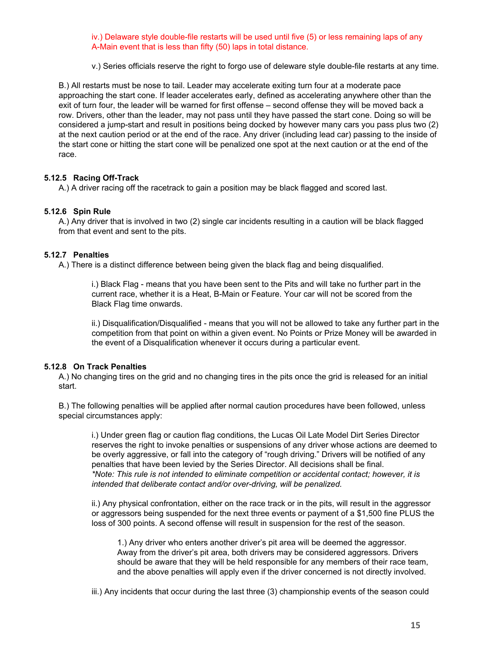iv.) Delaware style double-file restarts will be used until five (5) or less remaining laps of any A-Main event that is less than fifty (50) laps in total distance.

v.) Series officials reserve the right to forgo use of deleware style double-file restarts at any time.

B.) All restarts must be nose to tail. Leader may accelerate exiting turn four at a moderate pace approaching the start cone. If leader accelerates early, defined as accelerating anywhere other than the exit of turn four, the leader will be warned for first offense – second offense they will be moved back a row. Drivers, other than the leader, may not pass until they have passed the start cone. Doing so will be considered a jump-start and result in positions being docked by however many cars you pass plus two (2) at the next caution period or at the end of the race. Any driver (including lead car) passing to the inside of the start cone or hitting the start cone will be penalized one spot at the next caution or at the end of the race.

## **5.12.5 Racing Off-Track**

A.) A driver racing off the racetrack to gain a position may be black flagged and scored last.

## **5.12.6 Spin Rule**

A.) Any driver that is involved in two (2) single car incidents resulting in a caution will be black flagged from that event and sent to the pits.

## **5.12.7 Penalties**

A.) There is a distinct difference between being given the black flag and being disqualified.

i.) Black Flag - means that you have been sent to the Pits and will take no further part in the current race, whether it is a Heat, B-Main or Feature. Your car will not be scored from the Black Flag time onwards.

ii.) Disqualification/Disqualified - means that you will not be allowed to take any further part in the competition from that point on within a given event. No Points or Prize Money will be awarded in the event of a Disqualification whenever it occurs during a particular event.

#### **5.12.8 On Track Penalties**

A.) No changing tires on the grid and no changing tires in the pits once the grid is released for an initial start.

B.) The following penalties will be applied after normal caution procedures have been followed, unless special circumstances apply:

i.) Under green flag or caution flag conditions, the Lucas Oil Late Model Dirt Series Director reserves the right to invoke penalties or suspensions of any driver whose actions are deemed to be overly aggressive, or fall into the category of "rough driving." Drivers will be notified of any penalties that have been levied by the Series Director. All decisions shall be final. *\*Note: This rule is not intended to eliminate competition or accidental contact; however, it is intended that deliberate contact and/or over-driving, will be penalized.*

ii.) Any physical confrontation, either on the race track or in the pits, will result in the aggressor or aggressors being suspended for the next three events or payment of a \$1,500 fine PLUS the loss of 300 points. A second offense will result in suspension for the rest of the season.

1.) Any driver who enters another driver's pit area will be deemed the aggressor. Away from the driver's pit area, both drivers may be considered aggressors. Drivers should be aware that they will be held responsible for any members of their race team, and the above penalties will apply even if the driver concerned is not directly involved.

iii.) Any incidents that occur during the last three (3) championship events of the season could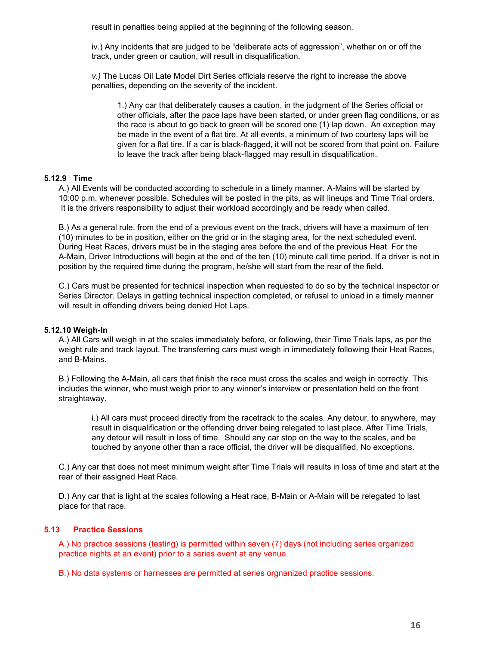result in penalties being applied at the beginning of the following season.

iv.) Any incidents that are judged to be "deliberate acts of aggression", whether on or off the track, under green or caution, will result in disqualification.

*v.)* The Lucas Oil Late Model Dirt Series officials reserve the right to increase the above penalties, depending on the severity of the incident.

1.) Any car that deliberately causes a caution, in the judgment of the Series official or other officials, after the pace laps have been started, or under green flag conditions, or as the race is about to go back to green will be scored one (1) lap down. An exception may be made in the event of a flat tire. At all events, a minimum of two courtesy laps will be given for a flat tire. If a car is black-flagged, it will not be scored from that point on. Failure to leave the track after being black-flagged may result in disqualification.

## **5.12.9 Time**

A.) All Events will be conducted according to schedule in a timely manner. A-Mains will be started by 10:00 p.m. whenever possible. Schedules will be posted in the pits, as will lineups and Time Trial orders. It is the drivers responsibility to adjust their workload accordingly and be ready when called.

B.) As a general rule, from the end of a previous event on the track, drivers will have a maximum of ten (10) minutes to be in position, either on the grid or in the staging area, for the next scheduled event. During Heat Races, drivers must be in the staging area before the end of the previous Heat. For the A-Main, Driver Introductions will begin at the end of the ten (10) minute call time period. If a driver is not in position by the required time during the program, he/she will start from the rear of the field.

C.) Cars must be presented for technical inspection when requested to do so by the technical inspector or Series Director. Delays in getting technical inspection completed, or refusal to unload in a timely manner will result in offending drivers being denied Hot Laps.

## **5.12.10 Weigh-In**

A.) All Cars will weigh in at the scales immediately before, or following, their Time Trials laps, as per the weight rule and track layout. The transferring cars must weigh in immediately following their Heat Races, and B-Mains.

B.) Following the A-Main, all cars that finish the race must cross the scales and weigh in correctly. This includes the winner, who must weigh prior to any winner's interview or presentation held on the front straightaway.

i.) All cars must proceed directly from the racetrack to the scales. Any detour, to anywhere, may result in disqualification or the offending driver being relegated to last place. After Time Trials, any detour will result in loss of time. Should any car stop on the way to the scales, and be touched by anyone other than a race official, the driver will be disqualified. No exceptions.

C.) Any car that does not meet minimum weight after Time Trials will results in loss of time and start at the rear of their assigned Heat Race.

D.) Any car that is light at the scales following a Heat race, B-Main or A-Main will be relegated to last place for that race.

## **5.13 Practice Sessions**

A.) No practice sessions (testing) is permitted within seven (7) days (not including series organized practice nights at an event) prior to a series event at any venue.

B.) No data systems or harnesses are permitted at series orgnanized practice sessions.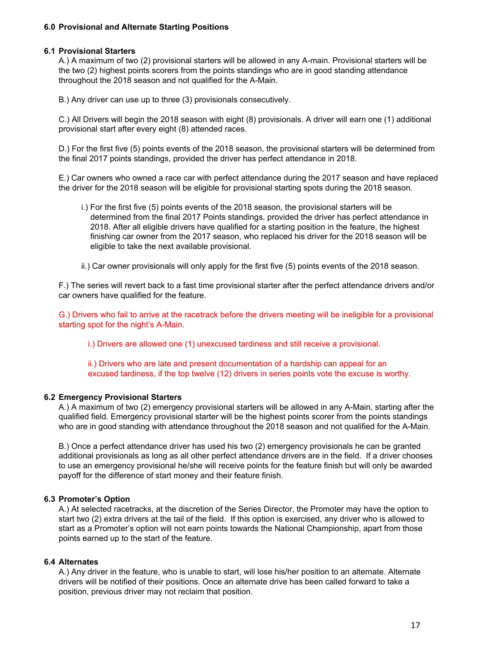## **6.0 Provisional and Alternate Starting Positions**

#### **6.1 Provisional Starters**

A.) A maximum of two (2) provisional starters will be allowed in any A-main. Provisional starters will be the two (2) highest points scorers from the points standings who are in good standing attendance throughout the 2018 season and not qualified for the A-Main.

B.) Any driver can use up to three (3) provisionals consecutively.

C.) All Drivers will begin the 2018 season with eight (8) provisionals. A driver will earn one (1) additional provisional start after every eight (8) attended races.

D.) For the first five (5) points events of the 2018 season, the provisional starters will be determined from the final 2017 points standings, provided the driver has perfect attendance in 2018.

E.) Car owners who owned a race car with perfect attendance during the 2017 season and have replaced the driver for the 2018 season will be eligible for provisional starting spots during the 2018 season.

- i.) For the first five (5) points events of the 2018 season, the provisional starters will be determined from the final 2017 Points standings, provided the driver has perfect attendance in 2018. After all eligible drivers have qualified for a starting position in the feature, the highest finishing car owner from the 2017 season, who replaced his driver for the 2018 season will be eligible to take the next available provisional.
- ii.) Car owner provisionals will only apply for the first five (5) points events of the 2018 season.

F.) The series will revert back to a fast time provisional starter after the perfect attendance drivers and/or car owners have qualified for the feature.

G.) Drivers who fail to arrive at the racetrack before the drivers meeting will be ineligible for a provisional starting spot for the night's A-Main.

i.) Drivers are allowed one (1) unexcused tardiness and still receive a provisional.

ii.) Drivers who are late and present documentation of a hardship can appeal for an excused tardiness, if the top twelve (12) drivers in series points vote the excuse is worthy.

#### **6.2 Emergency Provisional Starters**

A.) A maximum of two (2) emergency provisional starters will be allowed in any A-Main, starting after the qualified field. Emergency provisional starter will be the highest points scorer from the points standings who are in good standing with attendance throughout the 2018 season and not qualified for the A-Main.

B.) Once a perfect attendance driver has used his two (2) emergency provisionals he can be granted additional provisionals as long as all other perfect attendance drivers are in the field. If a driver chooses to use an emergency provisional he/she will receive points for the feature finish but will only be awarded payoff for the difference of start money and their feature finish.

#### **6.3 Promoter's Option**

A.) At selected racetracks, at the discretion of the Series Director, the Promoter may have the option to start two (2) extra drivers at the tail of the field. If this option is exercised, any driver who is allowed to start as a Promoter's option will not earn points towards the National Championship, apart from those points earned up to the start of the feature.

#### **6.4 Alternates**

A.) Any driver in the feature, who is unable to start, will lose his/her position to an alternate. Alternate drivers will be notified of their positions. Once an alternate drive has been called forward to take a position, previous driver may not reclaim that position.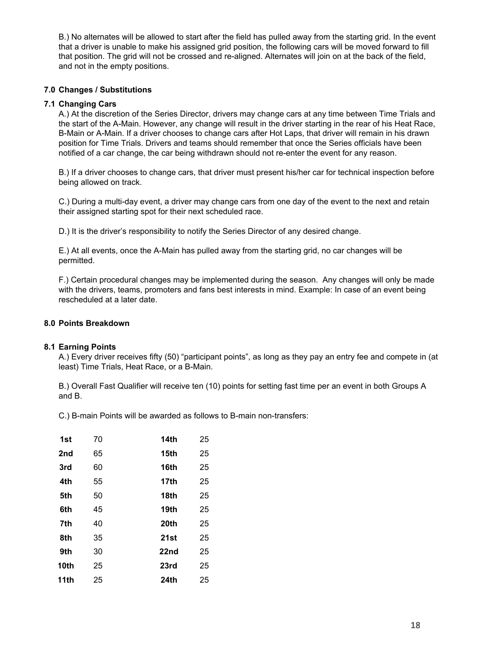B.) No alternates will be allowed to start after the field has pulled away from the starting grid. In the event that a driver is unable to make his assigned grid position, the following cars will be moved forward to fill that position. The grid will not be crossed and re-aligned. Alternates will join on at the back of the field, and not in the empty positions.

## **7.0 Changes / Substitutions**

#### **7.1 Changing Cars**

A.) At the discretion of the Series Director, drivers may change cars at any time between Time Trials and the start of the A-Main. However, any change will result in the driver starting in the rear of his Heat Race, B-Main or A-Main. If a driver chooses to change cars after Hot Laps, that driver will remain in his drawn position for Time Trials. Drivers and teams should remember that once the Series officials have been notified of a car change, the car being withdrawn should not re-enter the event for any reason.

B.) If a driver chooses to change cars, that driver must present his/her car for technical inspection before being allowed on track.

C.) During a multi-day event, a driver may change cars from one day of the event to the next and retain their assigned starting spot for their next scheduled race.

D.) It is the driver's responsibility to notify the Series Director of any desired change.

E.) At all events, once the A-Main has pulled away from the starting grid, no car changes will be permitted.

F.) Certain procedural changes may be implemented during the season. Any changes will only be made with the drivers, teams, promoters and fans best interests in mind. Example: In case of an event being rescheduled at a later date.

#### **8.0 Points Breakdown**

#### **8.1 Earning Points**

A.) Every driver receives fifty (50) "participant points", as long as they pay an entry fee and compete in (at least) Time Trials, Heat Race, or a B-Main.

B.) Overall Fast Qualifier will receive ten (10) points for setting fast time per an event in both Groups A and B.

C.) B-main Points will be awarded as follows to B-main non-transfers:

| 70 | <b>14th</b> | 25 |
|----|-------------|----|
| 65 | 15th        | 25 |
| 60 | 16th        | 25 |
| 55 | 17th        | 25 |
| 50 | 18th        | 25 |
| 45 | 19th        | 25 |
| 40 | 20th        | 25 |
| 35 | 21st        | 25 |
| 30 | 22nd        | 25 |
| 25 | 23rd        | 25 |
| 25 | 24th        | 25 |
|    |             |    |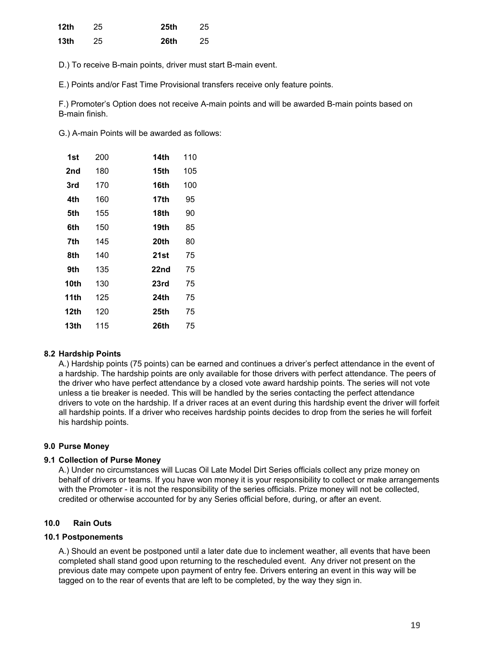| 12th | 25 | <b>25th</b> | 25 |
|------|----|-------------|----|
| 13th | 25 | 26th        | 25 |

D.) To receive B-main points, driver must start B-main event.

E.) Points and/or Fast Time Provisional transfers receive only feature points.

F.) Promoter's Option does not receive A-main points and will be awarded B-main points based on B-main finish.

G.) A-main Points will be awarded as follows:

| 1st  | 200 | 14th        | 110 |
|------|-----|-------------|-----|
| 2nd  | 180 | 15th        | 105 |
| 3rd  | 170 | 16th        | 100 |
| 4th  | 160 | 17th        | 95  |
| 5th  | 155 | 18th        | 90  |
| 6th  | 150 | 19th        | 85  |
| 7th  | 145 | 20th        | 80  |
| 8th  | 140 | 21st        | 75  |
| 9th  | 135 | 22nd        | 75  |
| 10th | 130 | 23rd        | 75  |
| 11th | 125 | <b>24th</b> | 75  |
| 12th | 120 | 25th        | 75  |
| 13th | 115 | 26th        | 75  |

## **8.2 Hardship Points**

A.) Hardship points (75 points) can be earned and continues a driver's perfect attendance in the event of a hardship. The hardship points are only available for those drivers with perfect attendance. The peers of the driver who have perfect attendance by a closed vote award hardship points. The series will not vote unless a tie breaker is needed. This will be handled by the series contacting the perfect attendance drivers to vote on the hardship. If a driver races at an event during this hardship event the driver will forfeit all hardship points. If a driver who receives hardship points decides to drop from the series he will forfeit his hardship points.

#### **9.0 Purse Money**

#### **9.1 Collection of Purse Money**

A.) Under no circumstances will Lucas Oil Late Model Dirt Series officials collect any prize money on behalf of drivers or teams. If you have won money it is your responsibility to collect or make arrangements with the Promoter - it is not the responsibility of the series officials. Prize money will not be collected, credited or otherwise accounted for by any Series official before, during, or after an event.

## **10.0 Rain Outs**

#### **10.1 Postponements**

A.) Should an event be postponed until a later date due to inclement weather, all events that have been completed shall stand good upon returning to the rescheduled event. Any driver not present on the previous date may compete upon payment of entry fee. Drivers entering an event in this way will be tagged on to the rear of events that are left to be completed, by the way they sign in.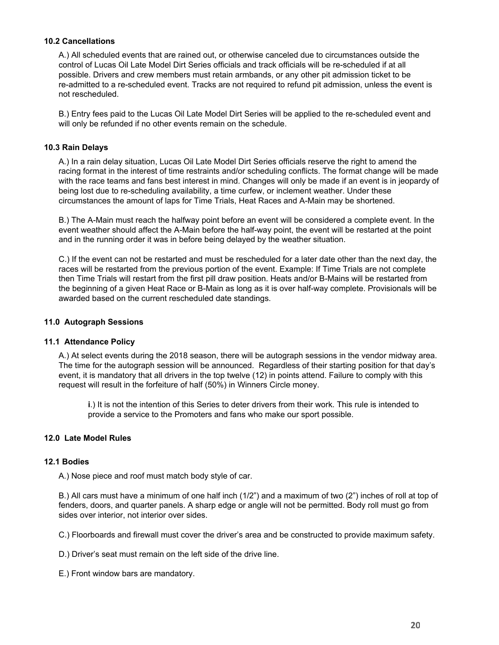## **10.2 Cancellations**

A.) All scheduled events that are rained out, or otherwise canceled due to circumstances outside the control of Lucas Oil Late Model Dirt Series officials and track officials will be re-scheduled if at all possible. Drivers and crew members must retain armbands, or any other pit admission ticket to be re-admitted to a re-scheduled event. Tracks are not required to refund pit admission, unless the event is not rescheduled.

B.) Entry fees paid to the Lucas Oil Late Model Dirt Series will be applied to the re-scheduled event and will only be refunded if no other events remain on the schedule.

#### **10.3 Rain Delays**

A.) In a rain delay situation, Lucas Oil Late Model Dirt Series officials reserve the right to amend the racing format in the interest of time restraints and/or scheduling conflicts. The format change will be made with the race teams and fans best interest in mind. Changes will only be made if an event is in jeopardy of being lost due to re-scheduling availability, a time curfew, or inclement weather. Under these circumstances the amount of laps for Time Trials, Heat Races and A-Main may be shortened.

B.) The A-Main must reach the halfway point before an event will be considered a complete event. In the event weather should affect the A-Main before the half-way point, the event will be restarted at the point and in the running order it was in before being delayed by the weather situation.

C.) If the event can not be restarted and must be rescheduled for a later date other than the next day, the races will be restarted from the previous portion of the event. Example: If Time Trials are not complete then Time Trials will restart from the first pill draw position. Heats and/or B-Mains will be restarted from the beginning of a given Heat Race or B-Main as long as it is over half-way complete. Provisionals will be awarded based on the current rescheduled date standings.

## **11.0 Autograph Sessions**

#### **11.1 Attendance Policy**

A.) At select events during the 2018 season, there will be autograph sessions in the vendor midway area. The time for the autograph session will be announced. Regardless of their starting position for that day's event, it is mandatory that all drivers in the top twelve (12) in points attend. Failure to comply with this request will result in the forfeiture of half (50%) in Winners Circle money.

**i**.) It is not the intention of this Series to deter drivers from their work. This rule is intended to provide a service to the Promoters and fans who make our sport possible.

#### **12.0 Late Model Rules**

#### **12.1 Bodies**

A.) Nose piece and roof must match body style of car.

B.) All cars must have a minimum of one half inch (1/2") and a maximum of two (2") inches of roll at top of fenders, doors, and quarter panels. A sharp edge or angle will not be permitted. Body roll must go from sides over interior, not interior over sides.

C.) Floorboards and firewall must cover the driver's area and be constructed to provide maximum safety.

D.) Driver's seat must remain on the left side of the drive line.

E.) Front window bars are mandatory.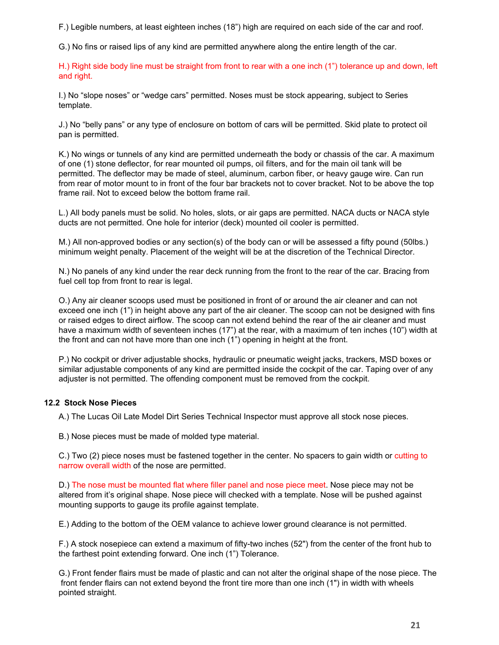F.) Legible numbers, at least eighteen inches (18") high are required on each side of the car and roof.

G.) No fins or raised lips of any kind are permitted anywhere along the entire length of the car.

H.) Right side body line must be straight from front to rear with a one inch (1") tolerance up and down, left and right.

I.) No "slope noses" or "wedge cars" permitted. Noses must be stock appearing, subject to Series template.

J.) No "belly pans" or any type of enclosure on bottom of cars will be permitted. Skid plate to protect oil pan is permitted.

K.) No wings or tunnels of any kind are permitted underneath the body or chassis of the car. A maximum of one (1) stone deflector, for rear mounted oil pumps, oil filters, and for the main oil tank will be permitted. The deflector may be made of steel, aluminum, carbon fiber, or heavy gauge wire. Can run from rear of motor mount to in front of the four bar brackets not to cover bracket. Not to be above the top frame rail. Not to exceed below the bottom frame rail.

L.) All body panels must be solid. No holes, slots, or air gaps are permitted. NACA ducts or NACA style ducts are not permitted. One hole for interior (deck) mounted oil cooler is permitted.

M.) All non-approved bodies or any section(s) of the body can or will be assessed a fifty pound (50lbs.) minimum weight penalty. Placement of the weight will be at the discretion of the Technical Director.

N.) No panels of any kind under the rear deck running from the front to the rear of the car. Bracing from fuel cell top from front to rear is legal.

O.) Any air cleaner scoops used must be positioned in front of or around the air cleaner and can not exceed one inch (1") in height above any part of the air cleaner. The scoop can not be designed with fins or raised edges to direct airflow. The scoop can not extend behind the rear of the air cleaner and must have a maximum width of seventeen inches (17") at the rear, with a maximum of ten inches (10") width at the front and can not have more than one inch (1") opening in height at the front.

P.) No cockpit or driver adjustable shocks, hydraulic or pneumatic weight jacks, trackers, MSD boxes or similar adjustable components of any kind are permitted inside the cockpit of the car. Taping over of any adjuster is not permitted. The offending component must be removed from the cockpit.

## **12.2 Stock Nose Pieces**

A.) The Lucas Oil Late Model Dirt Series Technical Inspector must approve all stock nose pieces.

B.) Nose pieces must be made of molded type material.

C.) Two (2) piece noses must be fastened together in the center. No spacers to gain width or cutting to narrow overall width of the nose are permitted.

D.) The nose must be mounted flat where filler panel and nose piece meet. Nose piece may not be altered from it's original shape. Nose piece will checked with a template. Nose will be pushed against mounting supports to gauge its profile against template.

E.) Adding to the bottom of the OEM valance to achieve lower ground clearance is not permitted.

F.) A stock nosepiece can extend a maximum of fifty-two inches (52") from the center of the front hub to the farthest point extending forward. One inch (1") Tolerance.

G.) Front fender flairs must be made of plastic and can not alter the original shape of the nose piece. The front fender flairs can not extend beyond the front tire more than one inch (1") in width with wheels pointed straight.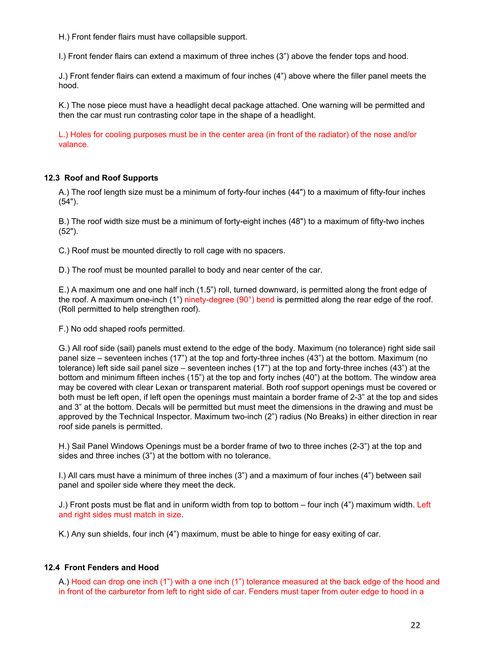H.) Front fender flairs must have collapsible support.

I.) Front fender flairs can extend a maximum of three inches (3") above the fender tops and hood.

J.) Front fender flairs can extend a maximum of four inches (4") above where the filler panel meets the hood.

K.) The nose piece must have a headlight decal package attached. One warning will be permitted and then the car must run contrasting color tape in the shape of a headlight.

L.) Holes for cooling purposes must be in the center area (in front of the radiator) of the nose and/or valance.

#### **12.3 Roof and Roof Supports**

A.) The roof length size must be a minimum of forty-four inches (44") to a maximum of fifty-four inches (54").

B.) The roof width size must be a minimum of forty-eight inches (48") to a maximum of fifty-two inches (52").

C.) Roof must be mounted directly to roll cage with no spacers.

D.) The roof must be mounted parallel to body and near center of the car.

E.) A maximum one and one half inch (1.5") roll, turned downward, is permitted along the front edge of the roof. A maximum one-inch (1") ninety-degree (90°) bend is permitted along the rear edge of the roof. (Roll permitted to help strengthen roof).

F.) No odd shaped roofs permitted.

G.) All roof side (sail) panels must extend to the edge of the body. Maximum (no tolerance) right side sail panel size – seventeen inches (17") at the top and forty-three inches (43") at the bottom. Maximum (no tolerance) left side sail panel size – seventeen inches (17") at the top and forty-three inches (43") at the bottom and minimum fifteen inches (15") at the top and forty inches (40") at the bottom. The window area may be covered with clear Lexan or transparent material. Both roof support openings must be covered or both must be left open, if left open the openings must maintain a border frame of 2-3" at the top and sides and 3" at the bottom. Decals will be permitted but must meet the dimensions in the drawing and must be approved by the Technical Inspector. Maximum two-inch (2") radius (No Breaks) in either direction in rear roof side panels is permitted.

H.) Sail Panel Windows Openings must be a border frame of two to three inches (2-3") at the top and sides and three inches (3") at the bottom with no tolerance.

I.) All cars must have a minimum of three inches (3") and a maximum of four inches (4") between sail panel and spoiler side where they meet the deck.

J.) Front posts must be flat and in uniform width from top to bottom – four inch (4") maximum width. Left and right sides must match in size.

K.) Any sun shields, four inch (4") maximum, must be able to hinge for easy exiting of car.

#### **12.4 Front Fenders and Hood**

A.) Hood can drop one inch (1") with a one inch (1") tolerance measured at the back edge of the hood and in front of the carburetor from left to right side of car. Fenders must taper from outer edge to hood in a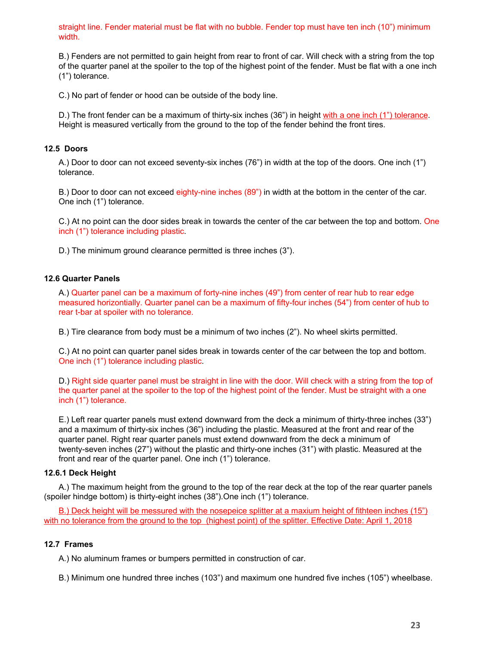straight line. Fender material must be flat with no bubble. Fender top must have ten inch (10") minimum width.

B.) Fenders are not permitted to gain height from rear to front of car. Will check with a string from the top of the quarter panel at the spoiler to the top of the highest point of the fender. Must be flat with a one inch (1") tolerance.

C.) No part of fender or hood can be outside of the body line.

D.) The front fender can be a maximum of thirty-six inches (36") in height with a one inch (1") tolerance. Height is measured vertically from the ground to the top of the fender behind the front tires.

#### **12.5 Doors**

A.) Door to door can not exceed seventy-six inches (76") in width at the top of the doors. One inch (1") tolerance.

B.) Door to door can not exceed eighty-nine inches (89") in width at the bottom in the center of the car. One inch (1") tolerance.

C.) At no point can the door sides break in towards the center of the car between the top and bottom. One inch (1") tolerance including plastic.

D.) The minimum ground clearance permitted is three inches (3").

#### **12.6 Quarter Panels**

A.) Quarter panel can be a maximum of forty-nine inches (49") from center of rear hub to rear edge measured horizontially. Quarter panel can be a maximum of fifty-four inches (54") from center of hub to rear t-bar at spoiler with no tolerance.

B.) Tire clearance from body must be a minimum of two inches (2"). No wheel skirts permitted.

C.) At no point can quarter panel sides break in towards center of the car between the top and bottom. One inch (1") tolerance including plastic.

D.) Right side quarter panel must be straight in line with the door. Will check with a string from the top of the quarter panel at the spoiler to the top of the highest point of the fender. Must be straight with a one inch (1") tolerance.

E.) Left rear quarter panels must extend downward from the deck a minimum of thirty-three inches (33") and a maximum of thirty-six inches (36") including the plastic. Measured at the front and rear of the quarter panel. Right rear quarter panels must extend downward from the deck a minimum of twenty-seven inches (27") without the plastic and thirty-one inches (31") with plastic. Measured at the front and rear of the quarter panel. One inch (1") tolerance.

#### **12.6.1 Deck Height**

A.) The maximum height from the ground to the top of the rear deck at the top of the rear quarter panels (spoiler hindge bottom) is thirty-eight inches (38").One inch (1") tolerance.

B.) Deck height will be messured with the nosepeice splitter at a maxium height of fithteen inches (15") with no tolerance from the ground to the top (highest point) of the splitter. Effective Date: April 1, 2018

#### **12.7 Frames**

A.) No aluminum frames or bumpers permitted in construction of car.

B.) Minimum one hundred three inches (103") and maximum one hundred five inches (105") wheelbase.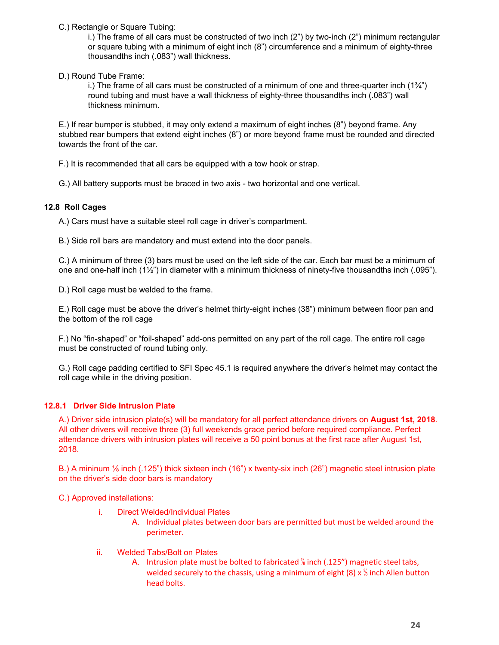C.) Rectangle or Square Tubing:

i.) The frame of all cars must be constructed of two inch (2") by two-inch (2") minimum rectangular or square tubing with a minimum of eight inch (8") circumference and a minimum of eighty-three thousandths inch (.083") wall thickness.

D.) Round Tube Frame:

i.) The frame of all cars must be constructed of a minimum of one and three-quarter inch (1¾") round tubing and must have a wall thickness of eighty-three thousandths inch (.083") wall thickness minimum.

E.) If rear bumper is stubbed, it may only extend a maximum of eight inches (8") beyond frame. Any stubbed rear bumpers that extend eight inches (8") or more beyond frame must be rounded and directed towards the front of the car.

F.) It is recommended that all cars be equipped with a tow hook or strap.

G.) All battery supports must be braced in two axis - two horizontal and one vertical.

# **12.8 Roll Cages**

A.) Cars must have a suitable steel roll cage in driver's compartment.

B.) Side roll bars are mandatory and must extend into the door panels.

C.) A minimum of three (3) bars must be used on the left side of the car. Each bar must be a minimum of one and one-half inch (1½") in diameter with a minimum thickness of ninety-five thousandths inch (.095").

D.) Roll cage must be welded to the frame.

E.) Roll cage must be above the driver's helmet thirty-eight inches (38") minimum between floor pan and the bottom of the roll cage

F.) No "fin-shaped" or "foil-shaped" add-ons permitted on any part of the roll cage. The entire roll cage must be constructed of round tubing only.

G.) Roll cage padding certified to SFI Spec 45.1 is required anywhere the driver's helmet may contact the roll cage while in the driving position.

# **12.8.1 Driver Side Intrusion Plate**

A.) Driver side intrusion plate(s) will be mandatory for all perfect attendance drivers on **August 1st, 2018**. All other drivers will receive three (3) full weekends grace period before required compliance. Perfect attendance drivers with intrusion plates will receive a 50 point bonus at the first race after August 1st, 2018.

B.) A mininum ⅛ inch (.125") thick sixteen inch (16") x twenty-six inch (26") magnetic steel intrusion plate on the driver's side door bars is mandatory

C.) Approved installations:

- i. Direct Welded/Individual Plates
	- A. Individual plates between door bars are permitted but must be welded around the perimeter.
- ii. Welded Tabs/Bolt on Plates
	- A. Intrusion plate must be bolted to fabricated % inch (.125") magnetic steel tabs, welded securely to the chassis, using a minimum of eight (8)  $x \frac{y}{k}$  inch Allen button head bolts.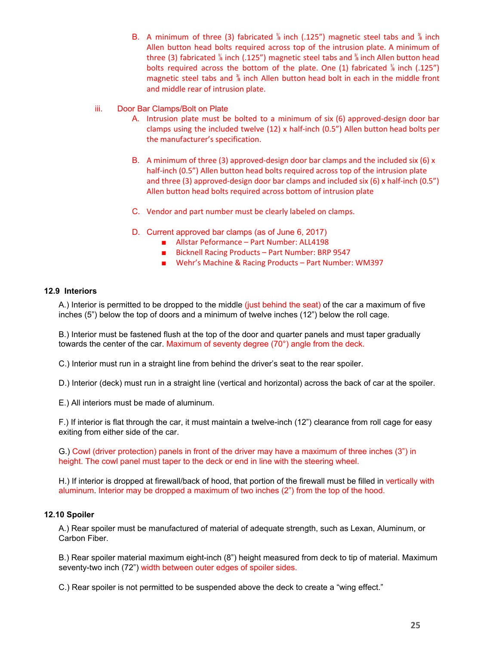- B. A minimum of three (3) fabricated  $\frac{1}{8}$  inch (.125") magnetic steel tabs and  $\frac{1}{8}$  inch Allen button head bolts required across top of the intrusion plate. A minimum of three (3) fabricated  $\frac{1}{6}$  inch (.125") magnetic steel tabs and  $\frac{3}{6}$  inch Allen button head bolts required across the bottom of the plate. One (1) fabricated  $\frac{1}{8}$  inch (.125") magnetic steel tabs and  $\frac{3}{6}$  inch Allen button head bolt in each in the middle front and middle rear of intrusion plate.
- iii. Door Bar Clamps/Bolt on Plate
	- A. Intrusion plate must be bolted to a minimum of six (6) approved-design door bar clamps using the included twelve (12) x half-inch (0.5") Allen button head bolts per the manufacturer's specification.
	- B. A minimum of three (3) approved-design door bar clamps and the included six (6) x half-inch (0.5") Allen button head bolts required across top of the intrusion plate and three (3) approved-design door bar clamps and included six (6) x half-inch (0.5") Allen button head bolts required across bottom of intrusion plate
	- C. Vendor and part number must be clearly labeled on clamps.
	- D. Current approved bar clamps (as of June 6, 2017)
		- Allstar Peformance Part Number: ALL4198
		- Bicknell Racing Products Part Number: BRP 9547
		- Wehr's Machine & Racing Products Part Number: WM397

#### **12.9 Interiors**

A.) Interior is permitted to be dropped to the middle (just behind the seat) of the car a maximum of five inches (5") below the top of doors and a minimum of twelve inches (12") below the roll cage.

B.) Interior must be fastened flush at the top of the door and quarter panels and must taper gradually towards the center of the car. Maximum of seventy degree (70°) angle from the deck.

C.) Interior must run in a straight line from behind the driver's seat to the rear spoiler.

D.) Interior (deck) must run in a straight line (vertical and horizontal) across the back of car at the spoiler.

E.) All interiors must be made of aluminum.

F.) If interior is flat through the car, it must maintain a twelve-inch (12") clearance from roll cage for easy exiting from either side of the car.

G.) Cowl (driver protection) panels in front of the driver may have a maximum of three inches (3") in height. The cowl panel must taper to the deck or end in line with the steering wheel.

H.) If interior is dropped at firewall/back of hood, that portion of the firewall must be filled in vertically with aluminum. Interior may be dropped a maximum of two inches (2") from the top of the hood.

#### **12.10 Spoiler**

A.) Rear spoiler must be manufactured of material of adequate strength, such as Lexan, Aluminum, or Carbon Fiber.

B.) Rear spoiler material maximum eight-inch (8") height measured from deck to tip of material. Maximum seventy-two inch (72") width between outer edges of spoiler sides.

C.) Rear spoiler is not permitted to be suspended above the deck to create a "wing effect."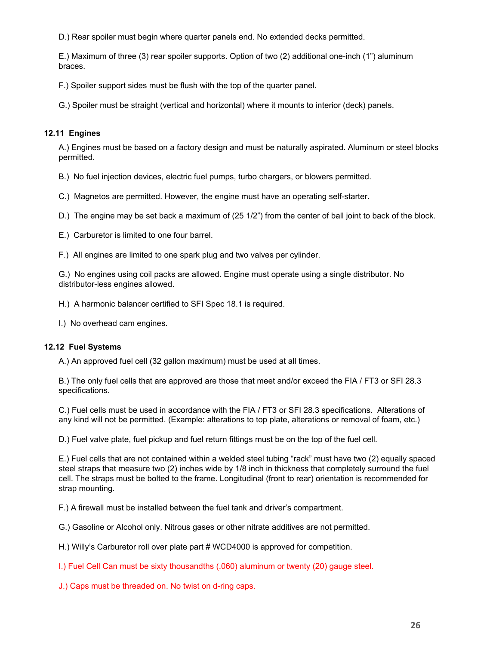D.) Rear spoiler must begin where quarter panels end. No extended decks permitted.

E.) Maximum of three (3) rear spoiler supports. Option of two (2) additional one-inch (1") aluminum braces.

F.) Spoiler support sides must be flush with the top of the quarter panel.

G.) Spoiler must be straight (vertical and horizontal) where it mounts to interior (deck) panels.

## **12.11 Engines**

A.) Engines must be based on a factory design and must be naturally aspirated. Aluminum or steel blocks permitted.

- B.) No fuel injection devices, electric fuel pumps, turbo chargers, or blowers permitted.
- C.) Magnetos are permitted. However, the engine must have an operating self-starter.
- D.) The engine may be set back a maximum of (25 1/2") from the center of ball joint to back of the block.
- E.) Carburetor is limited to one four barrel.
- F.) All engines are limited to one spark plug and two valves per cylinder.

G.) No engines using coil packs are allowed. Engine must operate using a single distributor. No distributor-less engines allowed.

- H.) A harmonic balancer certified to SFI Spec 18.1 is required.
- I.) No overhead cam engines.

## **12.12 Fuel Systems**

A.) An approved fuel cell (32 gallon maximum) must be used at all times.

B.) The only fuel cells that are approved are those that meet and/or exceed the FIA / FT3 or SFI 28.3 specifications.

C.) Fuel cells must be used in accordance with the FIA / FT3 or SFI 28.3 specifications. Alterations of any kind will not be permitted. (Example: alterations to top plate, alterations or removal of foam, etc.)

D.) Fuel valve plate, fuel pickup and fuel return fittings must be on the top of the fuel cell.

E.) Fuel cells that are not contained within a welded steel tubing "rack" must have two (2) equally spaced steel straps that measure two (2) inches wide by 1/8 inch in thickness that completely surround the fuel cell. The straps must be bolted to the frame. Longitudinal (front to rear) orientation is recommended for strap mounting.

F.) A firewall must be installed between the fuel tank and driver's compartment.

G.) Gasoline or Alcohol only. Nitrous gases or other nitrate additives are not permitted.

H.) Willy's Carburetor roll over plate part # WCD4000 is approved for competition.

I.) Fuel Cell Can must be sixty thousandths (.060) aluminum or twenty (20) gauge steel.

J.) Caps must be threaded on. No twist on d-ring caps.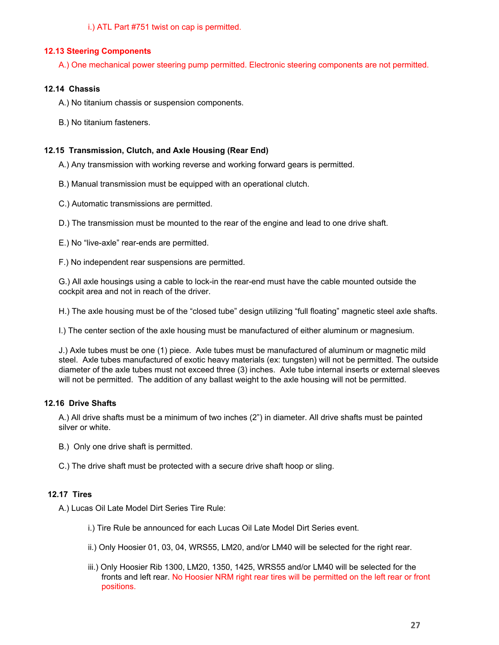i.) ATL Part #751 twist on cap is permitted.

## **12.13 Steering Components**

A.) One mechanical power steering pump permitted. Electronic steering components are not permitted.

## **12.14 Chassis**

A.) No titanium chassis or suspension components.

B.) No titanium fasteners.

## **12.15 Transmission, Clutch, and Axle Housing (Rear End)**

A.) Any transmission with working reverse and working forward gears is permitted.

- B.) Manual transmission must be equipped with an operational clutch.
- C.) Automatic transmissions are permitted.

D.) The transmission must be mounted to the rear of the engine and lead to one drive shaft.

- E.) No "live-axle" rear-ends are permitted.
- F.) No independent rear suspensions are permitted.

G.) All axle housings using a cable to lock-in the rear-end must have the cable mounted outside the cockpit area and not in reach of the driver.

H.) The axle housing must be of the "closed tube" design utilizing "full floating" magnetic steel axle shafts.

I.) The center section of the axle housing must be manufactured of either aluminum or magnesium.

J.) Axle tubes must be one (1) piece. Axle tubes must be manufactured of aluminum or magnetic mild steel. Axle tubes manufactured of exotic heavy materials (ex: tungsten) will not be permitted. The outside diameter of the axle tubes must not exceed three (3) inches. Axle tube internal inserts or external sleeves will not be permitted. The addition of any ballast weight to the axle housing will not be permitted.

## **12.16 Drive Shafts**

A.) All drive shafts must be a minimum of two inches (2") in diameter. All drive shafts must be painted silver or white.

- B.) Only one drive shaft is permitted.
- C.) The drive shaft must be protected with a secure drive shaft hoop or sling.

## **12.17 Tires**

A.) Lucas Oil Late Model Dirt Series Tire Rule:

- i.) Tire Rule be announced for each Lucas Oil Late Model Dirt Series event.
- ii.) Only Hoosier 01, 03, 04, WRS55, LM20, and/or LM40 will be selected for the right rear.
- iii.) Only Hoosier Rib 1300, LM20, 1350, 1425, WRS55 and/or LM40 will be selected for the fronts and left rear. No Hoosier NRM right rear tires will be permitted on the left rear or front positions.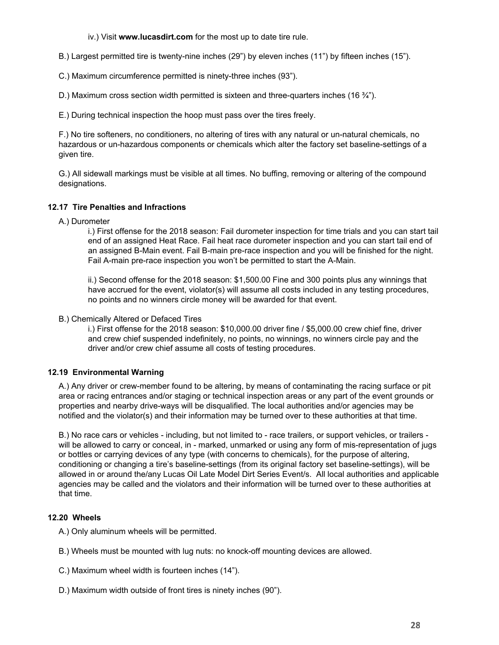iv.) Visit **[www.lucasdirt.com](http://www.lucasdirt.com/)** for the most up to date tire rule.

B.) Largest permitted tire is twenty-nine inches (29") by eleven inches (11") by fifteen inches (15").

C.) Maximum circumference permitted is ninety-three inches (93").

D.) Maximum cross section width permitted is sixteen and three-quarters inches  $(16 \frac{3}{4})$ .

E.) During technical inspection the hoop must pass over the tires freely.

F.) No tire softeners, no conditioners, no altering of tires with any natural or un-natural chemicals, no hazardous or un-hazardous components or chemicals which alter the factory set baseline-settings of a given tire.

G.) All sidewall markings must be visible at all times. No buffing, removing or altering of the compound designations.

#### **12.17 Tire Penalties and Infractions**

A.) Durometer

i.) First offense for the 2018 season: Fail durometer inspection for time trials and you can start tail end of an assigned Heat Race. Fail heat race durometer inspection and you can start tail end of an assigned B-Main event. Fail B-main pre-race inspection and you will be finished for the night. Fail A-main pre-race inspection you won't be permitted to start the A-Main.

ii.) Second offense for the 2018 season: \$1,500.00 Fine and 300 points plus any winnings that have accrued for the event, violator(s) will assume all costs included in any testing procedures, no points and no winners circle money will be awarded for that event.

#### B.) Chemically Altered or Defaced Tires

i.) First offense for the 2018 season: \$10,000.00 driver fine / \$5,000.00 crew chief fine, driver and crew chief suspended indefinitely, no points, no winnings, no winners circle pay and the driver and/or crew chief assume all costs of testing procedures.

## **12.19 Environmental Warning**

A.) Any driver or crew-member found to be altering, by means of contaminating the racing surface or pit area or racing entrances and/or staging or technical inspection areas or any part of the event grounds or properties and nearby drive-ways will be disqualified. The local authorities and/or agencies may be notified and the violator(s) and their information may be turned over to these authorities at that time.

B.) No race cars or vehicles - including, but not limited to - race trailers, or support vehicles, or trailers will be allowed to carry or conceal, in - marked, unmarked or using any form of mis-representation of jugs or bottles or carrying devices of any type (with concerns to chemicals), for the purpose of altering, conditioning or changing a tire's baseline-settings (from its original factory set baseline-settings), will be allowed in or around the/any Lucas Oil Late Model Dirt Series Event/s. All local authorities and applicable agencies may be called and the violators and their information will be turned over to these authorities at that time.

## **12.20 Wheels**

A.) Only aluminum wheels will be permitted.

B.) Wheels must be mounted with lug nuts: no knock-off mounting devices are allowed.

C.) Maximum wheel width is fourteen inches (14").

D.) Maximum width outside of front tires is ninety inches (90").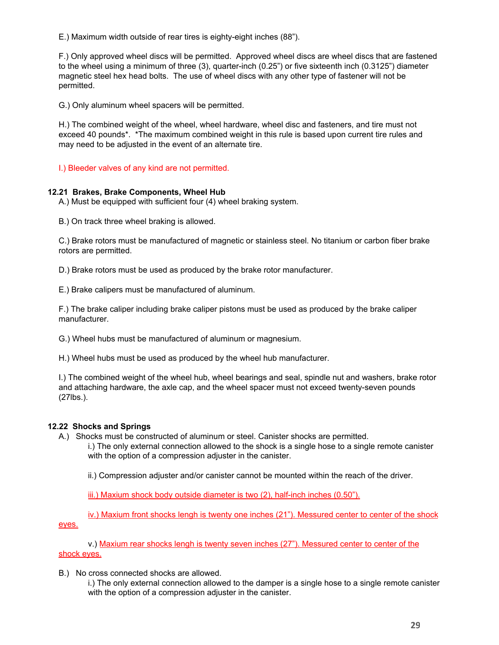E.) Maximum width outside of rear tires is eighty-eight inches (88").

F.) Only approved wheel discs will be permitted. Approved wheel discs are wheel discs that are fastened to the wheel using a minimum of three (3), quarter-inch (0.25") or five sixteenth inch (0.3125") diameter magnetic steel hex head bolts. The use of wheel discs with any other type of fastener will not be permitted.

G.) Only aluminum wheel spacers will be permitted.

H.) The combined weight of the wheel, wheel hardware, wheel disc and fasteners, and tire must not exceed 40 pounds\*. \*The maximum combined weight in this rule is based upon current tire rules and may need to be adjusted in the event of an alternate tire.

I.) Bleeder valves of any kind are not permitted.

#### **12.21 Brakes, Brake Components, Wheel Hub**

A.) Must be equipped with sufficient four (4) wheel braking system.

B.) On track three wheel braking is allowed.

C.) Brake rotors must be manufactured of magnetic or stainless steel. No titanium or carbon fiber brake rotors are permitted.

D.) Brake rotors must be used as produced by the brake rotor manufacturer.

E.) Brake calipers must be manufactured of aluminum.

F.) The brake caliper including brake caliper pistons must be used as produced by the brake caliper manufacturer.

G.) Wheel hubs must be manufactured of aluminum or magnesium.

H.) Wheel hubs must be used as produced by the wheel hub manufacturer.

I.) The combined weight of the wheel hub, wheel bearings and seal, spindle nut and washers, brake rotor and attaching hardware, the axle cap, and the wheel spacer must not exceed twenty-seven pounds (27lbs.).

#### **12.22 Shocks and Springs**

A.) Shocks must be constructed of aluminum or steel. Canister shocks are permitted. i.) The only external connection allowed to the shock is a single hose to a single remote canister with the option of a compression adjuster in the canister.

ii.) Compression adjuster and/or canister cannot be mounted within the reach of the driver.

iii.) Maxium shock body outside diameter is two (2), half-inch inches (0.50").

iv.) Maxium front shocks lengh is twenty one inches (21"). Messured center to center of the shock eyes.

v.) Maxium rear shocks lengh is twenty seven inches (27"). Messured center to center of the shock eyes.

B.) No cross connected shocks are allowed.

i.) The only external connection allowed to the damper is a single hose to a single remote canister with the option of a compression adjuster in the canister.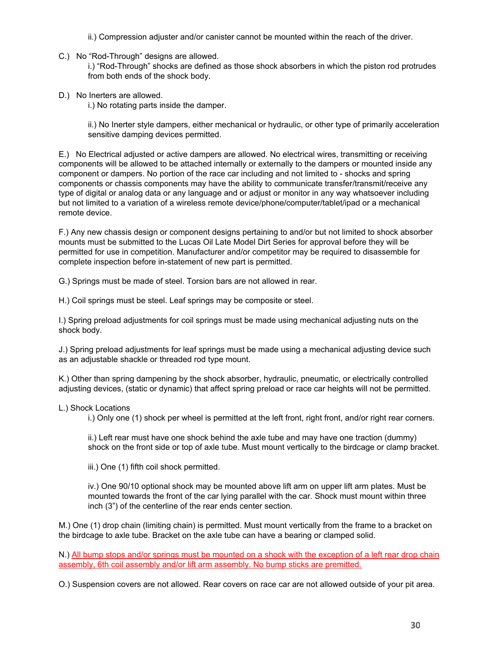- ii.) Compression adjuster and/or canister cannot be mounted within the reach of the driver.
- C.) No "Rod-Through" designs are allowed.

i.) "Rod-Through" shocks are defined as those shock absorbers in which the piston rod protrudes from both ends of the shock body.

D.) No Inerters are allowed.

i.) No rotating parts inside the damper.

ii.) No Inerter style dampers, either mechanical or hydraulic, or other type of primarily acceleration sensitive damping devices permitted.

E.) No Electrical adjusted or active dampers are allowed. No electrical wires, transmitting or receiving components will be allowed to be attached internally or externally to the dampers or mounted inside any component or dampers. No portion of the race car including and not limited to - shocks and spring components or chassis components may have the ability to communicate transfer/transmit/receive any type of digital or analog data or any language and or adjust or monitor in any way whatsoever including but not limited to a variation of a wireless remote device/phone/computer/tablet/ipad or a mechanical remote device.

F.) Any new chassis design or component designs pertaining to and/or but not limited to shock absorber mounts must be submitted to the Lucas Oil Late Model Dirt Series for approval before they will be permitted for use in competition. Manufacturer and/or competitor may be required to disassemble for complete inspection before in-statement of new part is permitted.

G.) Springs must be made of steel. Torsion bars are not allowed in rear.

H.) Coil springs must be steel. Leaf springs may be composite or steel.

I.) Spring preload adjustments for coil springs must be made using mechanical adjusting nuts on the shock body.

J.) Spring preload adjustments for leaf springs must be made using a mechanical adjusting device such as an adjustable shackle or threaded rod type mount.

K.) Other than spring dampening by the shock absorber, hydraulic, pneumatic, or electrically controlled adjusting devices, (static or dynamic) that affect spring preload or race car heights will not be permitted.

#### L.) Shock Locations

i.) Only one (1) shock per wheel is permitted at the left front, right front, and/or right rear corners.

ii.) Left rear must have one shock behind the axle tube and may have one traction (dummy) shock on the front side or top of axle tube. Must mount vertically to the birdcage or clamp bracket.

iii.) One (1) fifth coil shock permitted.

iv.) One 90/10 optional shock may be mounted above lift arm on upper lift arm plates. Must be mounted towards the front of the car lying parallel with the car. Shock must mount within three inch (3") of the centerline of the rear ends center section.

M.) One (1) drop chain (limiting chain) is permitted. Must mount vertically from the frame to a bracket on the birdcage to axle tube. Bracket on the axle tube can have a bearing or clamped solid.

N.) All bump stops and/or springs must be mounted on a shock with the exception of a left rear drop chain assembly, 6th coil assembly and/or lift arm assembly. No bump sticks are premitted.

O.) Suspension covers are not allowed. Rear covers on race car are not allowed outside of your pit area.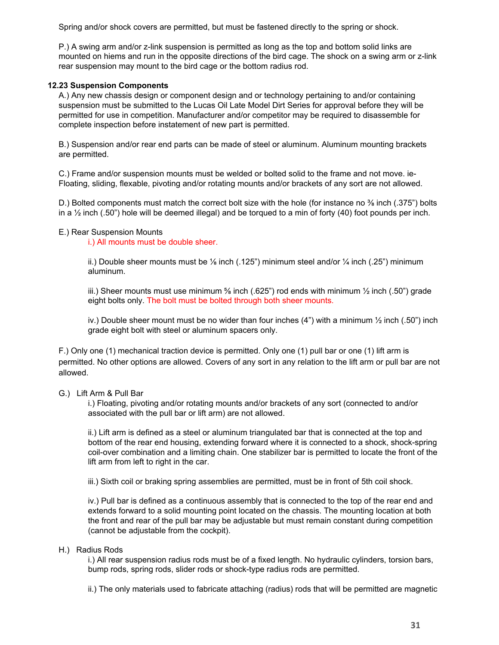Spring and/or shock covers are permitted, but must be fastened directly to the spring or shock.

P.) A swing arm and/or z-link suspension is permitted as long as the top and bottom solid links are mounted on hiems and run in the opposite directions of the bird cage. The shock on a swing arm or z-link rear suspension may mount to the bird cage or the bottom radius rod.

## **12.23 Suspension Components**

A.) Any new chassis design or component design and or technology pertaining to and/or containing suspension must be submitted to the Lucas Oil Late Model Dirt Series for approval before they will be permitted for use in competition. Manufacturer and/or competitor may be required to disassemble for complete inspection before instatement of new part is permitted.

B.) Suspension and/or rear end parts can be made of steel or aluminum. Aluminum mounting brackets are permitted.

C.) Frame and/or suspension mounts must be welded or bolted solid to the frame and not move. ie-Floating, sliding, flexable, pivoting and/or rotating mounts and/or brackets of any sort are not allowed.

D.) Bolted components must match the correct bolt size with the hole (for instance no  $\frac{3}{6}$  inch (.375") bolts in a  $\frac{1}{2}$  inch (.50") hole will be deemed illegal) and be torqued to a min of forty (40) foot pounds per inch.

#### E.) Rear Suspension Mounts

i.) All mounts must be double sheer.

ii.) Double sheer mounts must be  $\frac{1}{6}$  inch (.125") minimum steel and/or  $\frac{1}{4}$  inch (.25") minimum aluminum.

iii.) Sheer mounts must use minimum  $\frac{5}{6}$  inch (.625") rod ends with minimum  $\frac{1}{2}$  inch (.50") grade eight bolts only. The bolt must be bolted through both sheer mounts.

iv.) Double sheer mount must be no wider than four inches  $(4)$  with a minimum  $\frac{1}{2}$  inch  $(.50)$  inch grade eight bolt with steel or aluminum spacers only.

F.) Only one (1) mechanical traction device is permitted. Only one (1) pull bar or one (1) lift arm is permitted. No other options are allowed. Covers of any sort in any relation to the lift arm or pull bar are not allowed.

## G.) Lift Arm & Pull Bar

i.) Floating, pivoting and/or rotating mounts and/or brackets of any sort (connected to and/or associated with the pull bar or lift arm) are not allowed.

ii.) Lift arm is defined as a steel or aluminum triangulated bar that is connected at the top and bottom of the rear end housing, extending forward where it is connected to a shock, shock-spring coil-over combination and a limiting chain. One stabilizer bar is permitted to locate the front of the lift arm from left to right in the car.

iii.) Sixth coil or braking spring assemblies are permitted, must be in front of 5th coil shock.

iv.) Pull bar is defined as a continuous assembly that is connected to the top of the rear end and extends forward to a solid mounting point located on the chassis. The mounting location at both the front and rear of the pull bar may be adjustable but must remain constant during competition (cannot be adjustable from the cockpit).

## H.) Radius Rods

i.) All rear suspension radius rods must be of a fixed length. No hydraulic cylinders, torsion bars, bump rods, spring rods, slider rods or shock-type radius rods are permitted.

ii.) The only materials used to fabricate attaching (radius) rods that will be permitted are magnetic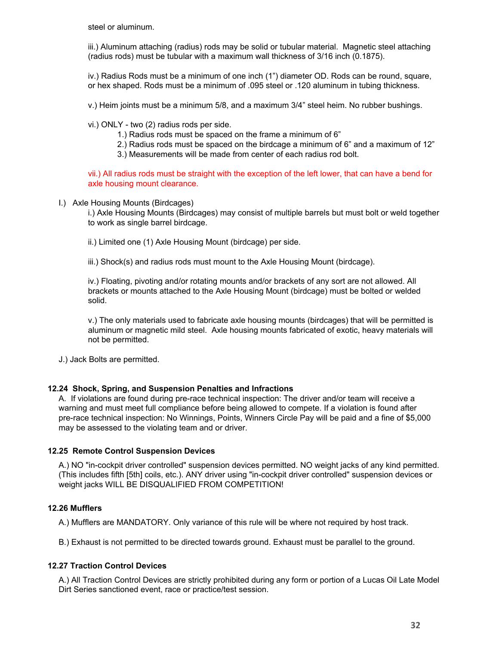steel or aluminum.

iii.) Aluminum attaching (radius) rods may be solid or tubular material. Magnetic steel attaching (radius rods) must be tubular with a maximum wall thickness of 3/16 inch (0.1875).

iv.) Radius Rods must be a minimum of one inch (1") diameter OD. Rods can be round, square, or hex shaped. Rods must be a minimum of .095 steel or .120 aluminum in tubing thickness.

v.) Heim joints must be a minimum 5/8, and a maximum 3/4" steel heim. No rubber bushings.

vi.) ONLY - two (2) radius rods per side.

1.) Radius rods must be spaced on the frame a minimum of 6"

2.) Radius rods must be spaced on the birdcage a minimum of 6" and a maximum of 12"

3.) Measurements will be made from center of each radius rod bolt.

vii.) All radius rods must be straight with the exception of the left lower, that can have a bend for axle housing mount clearance.

#### I.) Axle Housing Mounts (Birdcages)

i.) Axle Housing Mounts (Birdcages) may consist of multiple barrels but must bolt or weld together to work as single barrel birdcage.

ii.) Limited one (1) Axle Housing Mount (birdcage) per side.

iii.) Shock(s) and radius rods must mount to the Axle Housing Mount (birdcage).

iv.) Floating, pivoting and/or rotating mounts and/or brackets of any sort are not allowed. All brackets or mounts attached to the Axle Housing Mount (birdcage) must be bolted or welded solid.

v.) The only materials used to fabricate axle housing mounts (birdcages) that will be permitted is aluminum or magnetic mild steel. Axle housing mounts fabricated of exotic, heavy materials will not be permitted.

J.) Jack Bolts are permitted.

#### **12.24 Shock, Spring, and Suspension Penalties and Infractions**

A. If violations are found during pre-race technical inspection: The driver and/or team will receive a warning and must meet full compliance before being allowed to compete. If a violation is found after pre-race technical inspection: No Winnings, Points, Winners Circle Pay will be paid and a fine of \$5,000 may be assessed to the violating team and or driver.

## **12.25 Remote Control Suspension Devices**

A.) NO "in-cockpit driver controlled" suspension devices permitted. NO weight jacks of any kind permitted. (This includes fifth [5th] coils, etc.). ANY driver using "in-cockpit driver controlled" suspension devices or weight jacks WILL BE DISQUALIFIED FROM COMPETITION!

## **12.26 Mufflers**

A.) Mufflers are MANDATORY. Only variance of this rule will be where not required by host track.

B.) Exhaust is not permitted to be directed towards ground. Exhaust must be parallel to the ground.

## **12.27 Traction Control Devices**

A.) All Traction Control Devices are strictly prohibited during any form or portion of a Lucas Oil Late Model Dirt Series sanctioned event, race or practice/test session.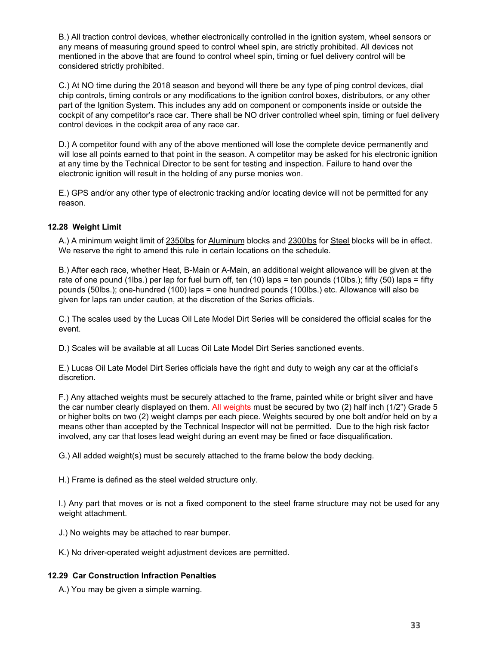B.) All traction control devices, whether electronically controlled in the ignition system, wheel sensors or any means of measuring ground speed to control wheel spin, are strictly prohibited. All devices not mentioned in the above that are found to control wheel spin, timing or fuel delivery control will be considered strictly prohibited.

C.) At NO time during the 2018 season and beyond will there be any type of ping control devices, dial chip controls, timing controls or any modifications to the ignition control boxes, distributors, or any other part of the Ignition System. This includes any add on component or components inside or outside the cockpit of any competitor's race car. There shall be NO driver controlled wheel spin, timing or fuel delivery control devices in the cockpit area of any race car.

D.) A competitor found with any of the above mentioned will lose the complete device permanently and will lose all points earned to that point in the season. A competitor may be asked for his electronic ignition at any time by the Technical Director to be sent for testing and inspection. Failure to hand over the electronic ignition will result in the holding of any purse monies won.

E.) GPS and/or any other type of electronic tracking and/or locating device will not be permitted for any reason.

## **12.28 Weight Limit**

A.) A minimum weight limit of 2350lbs for Aluminum blocks and 2300lbs for Steel blocks will be in effect. We reserve the right to amend this rule in certain locations on the schedule.

B.) After each race, whether Heat, B-Main or A-Main, an additional weight allowance will be given at the rate of one pound (1lbs.) per lap for fuel burn off, ten (10) laps = ten pounds (10lbs.); fifty (50) laps = fifty pounds (50lbs.); one-hundred (100) laps = one hundred pounds (100lbs.) etc. Allowance will also be given for laps ran under caution, at the discretion of the Series officials.

C.) The scales used by the Lucas Oil Late Model Dirt Series will be considered the official scales for the event.

D.) Scales will be available at all Lucas Oil Late Model Dirt Series sanctioned events.

E.) Lucas Oil Late Model Dirt Series officials have the right and duty to weigh any car at the official's discretion.

F.) Any attached weights must be securely attached to the frame, painted white or bright silver and have the car number clearly displayed on them. All weights must be secured by two (2) half inch (1/2") Grade 5 or higher bolts on two (2) weight clamps per each piece. Weights secured by one bolt and/or held on by a means other than accepted by the Technical Inspector will not be permitted. Due to the high risk factor involved, any car that loses lead weight during an event may be fined or face disqualification.

G.) All added weight(s) must be securely attached to the frame below the body decking.

H.) Frame is defined as the steel welded structure only.

I.) Any part that moves or is not a fixed component to the steel frame structure may not be used for any weight attachment.

J.) No weights may be attached to rear bumper.

K.) No driver-operated weight adjustment devices are permitted.

## **12.29 Car Construction Infraction Penalties**

A.) You may be given a simple warning.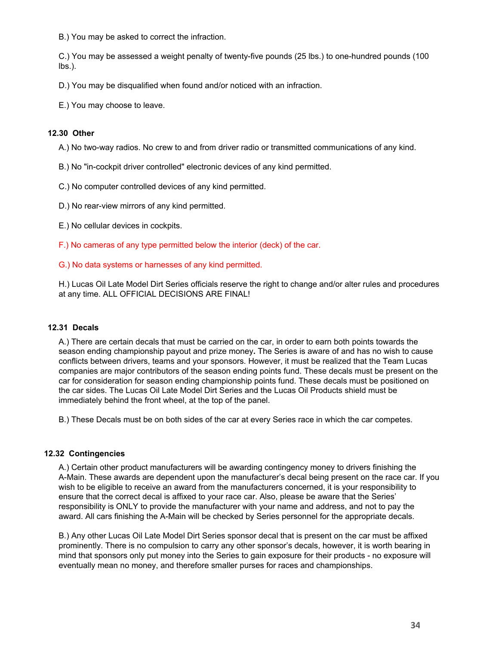B.) You may be asked to correct the infraction.

C.) You may be assessed a weight penalty of twenty-five pounds (25 lbs.) to one-hundred pounds (100 lbs.).

D.) You may be disqualified when found and/or noticed with an infraction.

E.) You may choose to leave.

#### **12.30 Other**

A.) No two-way radios. No crew to and from driver radio or transmitted communications of any kind.

B.) No "in-cockpit driver controlled" electronic devices of any kind permitted.

C.) No computer controlled devices of any kind permitted.

D.) No rear-view mirrors of any kind permitted.

E.) No cellular devices in cockpits.

F.) No cameras of any type permitted below the interior (deck) of the car.

G.) No data systems or harnesses of any kind permitted.

H.) Lucas Oil Late Model Dirt Series officials reserve the right to change and/or alter rules and procedures at any time. ALL OFFICIAL DECISIONS ARE FINAL!

#### **12.31 Decals**

A.) There are certain decals that must be carried on the car, in order to earn both points towards the season ending championship payout and prize money**.** The Series is aware of and has no wish to cause conflicts between drivers, teams and your sponsors. However, it must be realized that the Team Lucas companies are major contributors of the season ending points fund. These decals must be present on the car for consideration for season ending championship points fund. These decals must be positioned on the car sides. The Lucas Oil Late Model Dirt Series and the Lucas Oil Products shield must be immediately behind the front wheel, at the top of the panel.

B.) These Decals must be on both sides of the car at every Series race in which the car competes.

#### **12.32 Contingencies**

A.) Certain other product manufacturers will be awarding contingency money to drivers finishing the A-Main. These awards are dependent upon the manufacturer's decal being present on the race car. If you wish to be eligible to receive an award from the manufacturers concerned, it is your responsibility to ensure that the correct decal is affixed to your race car. Also, please be aware that the Series' responsibility is ONLY to provide the manufacturer with your name and address, and not to pay the award. All cars finishing the A-Main will be checked by Series personnel for the appropriate decals.

B.) Any other Lucas Oil Late Model Dirt Series sponsor decal that is present on the car must be affixed prominently. There is no compulsion to carry any other sponsor's decals, however, it is worth bearing in mind that sponsors only put money into the Series to gain exposure for their products - no exposure will eventually mean no money, and therefore smaller purses for races and championships.